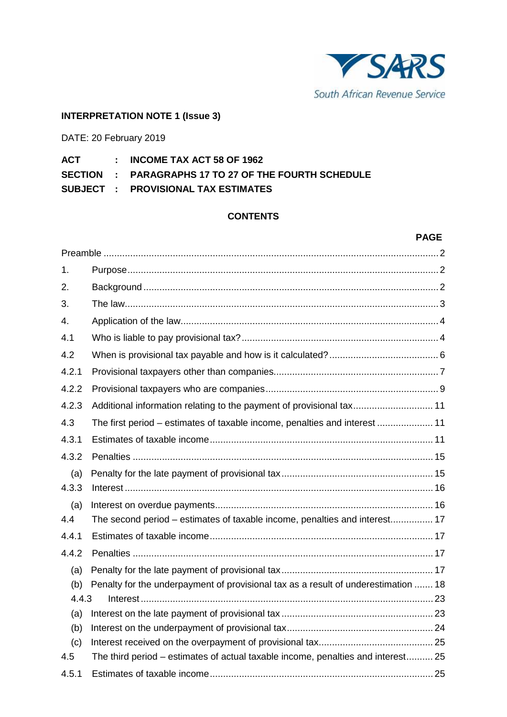

# **INTERPRETATION NOTE 1 (Issue 3)**

DATE: 20 February 2019

| ACT | <b>INCOME TAX ACT 58 OF 1962</b> |
|-----|----------------------------------|
|-----|----------------------------------|

**SECTION : PARAGRAPHS 17 TO 27 OF THE FOURTH SCHEDULE**

**SUBJECT : PROVISIONAL TAX ESTIMATES**

# **CONTENTS**

## **PAGE**

| 1.    |                                                                                    |  |
|-------|------------------------------------------------------------------------------------|--|
| 2.    |                                                                                    |  |
| 3.    |                                                                                    |  |
| 4.    |                                                                                    |  |
| 4.1   |                                                                                    |  |
| 4.2   |                                                                                    |  |
| 4.2.1 |                                                                                    |  |
| 4.2.2 |                                                                                    |  |
| 4.2.3 | Additional information relating to the payment of provisional tax 11               |  |
| 4.3   | The first period – estimates of taxable income, penalties and interest  11         |  |
| 4.3.1 |                                                                                    |  |
| 4.3.2 |                                                                                    |  |
| (a)   |                                                                                    |  |
| 4.3.3 |                                                                                    |  |
| (a)   |                                                                                    |  |
| 4.4   | The second period - estimates of taxable income, penalties and interest 17         |  |
| 4.4.1 |                                                                                    |  |
| 4.4.2 |                                                                                    |  |
| (a)   |                                                                                    |  |
| (b)   | Penalty for the underpayment of provisional tax as a result of underestimation  18 |  |
| 4.4.3 |                                                                                    |  |
| (a)   |                                                                                    |  |
| (b)   |                                                                                    |  |
| (c)   |                                                                                    |  |
| 4.5   | The third period – estimates of actual taxable income, penalties and interest 25   |  |
| 4.5.1 |                                                                                    |  |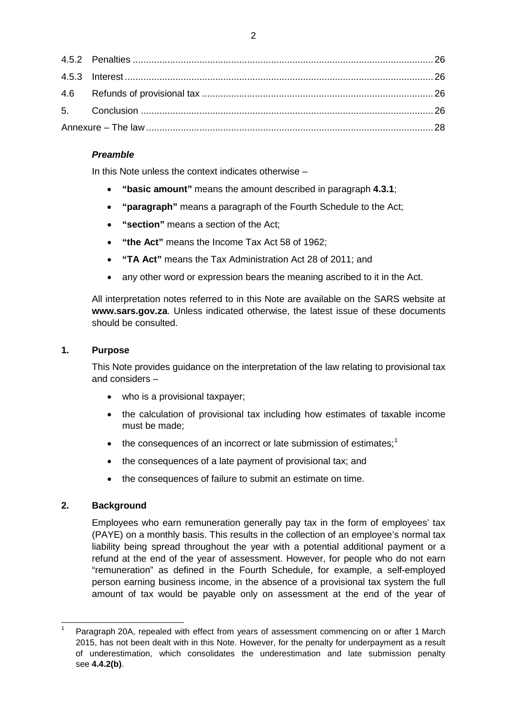# <span id="page-1-0"></span>*Preamble*

In this Note unless the context indicates otherwise –

- **"basic amount"** means the amount described in paragraph **[4.3.1](#page-10-2)**;
- **"paragraph"** means a paragraph of the Fourth Schedule to the Act;
- **"section"** means a section of the Act;
- **"the Act"** means the Income Tax Act 58 of 1962;
- **"TA Act"** means the Tax Administration Act 28 of 2011; and
- any other word or expression bears the meaning ascribed to it in the Act.

All interpretation notes referred to in this Note are available on the SARS website at **[www.sars.gov.za](http://www.sars.gov.za/)**. Unless indicated otherwise, the latest issue of these documents should be consulted.

#### <span id="page-1-1"></span>**1. Purpose**

This Note provides guidance on the interpretation of the law relating to provisional tax and considers –

- who is a provisional taxpayer:
- the calculation of provisional tax including how estimates of taxable income must be made;
- the consequences of an incorrect or late submission of estimates;<sup>[1](#page-1-3)</sup>
- the consequences of a late payment of provisional tax; and
- the consequences of failure to submit an estimate on time.

## <span id="page-1-2"></span>**2. Background**

Employees who earn remuneration generally pay tax in the form of employees' tax (PAYE) on a monthly basis. This results in the collection of an employee's normal tax liability being spread throughout the year with a potential additional payment or a refund at the end of the year of assessment. However, for people who do not earn "remuneration" as defined in the Fourth Schedule, for example, a self-employed person earning business income, in the absence of a provisional tax system the full amount of tax would be payable only on assessment at the end of the year of

<span id="page-1-3"></span>Paragraph 20A, repealed with effect from years of assessment commencing on or after 1 March 2015, has not been dealt with in this Note. However, for the penalty for underpayment as a result of underestimation, which consolidates the underestimation and late submission penalty see **[4.4.2\(b\)](#page-17-1)**.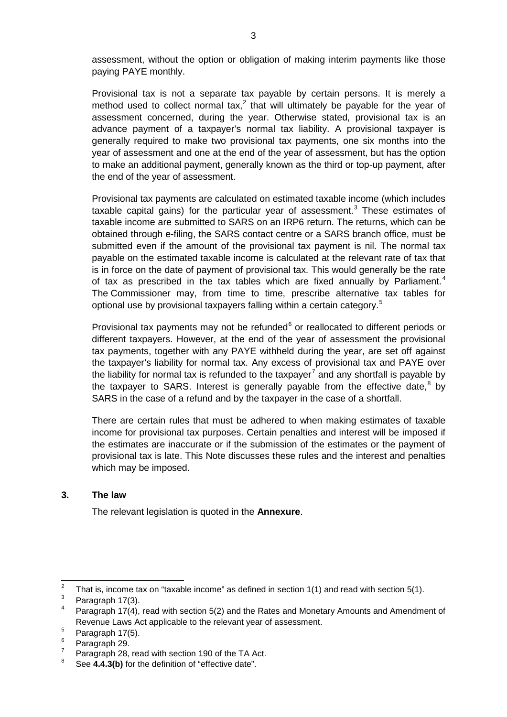assessment, without the option or obligation of making interim payments like those paying PAYE monthly.

Provisional tax is not a separate tax payable by certain persons. It is merely a method used to collect normal tax, $^2$  $^2$  that will ultimately be payable for the year of assessment concerned, during the year. Otherwise stated, provisional tax is an advance payment of a taxpayer's normal tax liability. A provisional taxpayer is generally required to make two provisional tax payments, one six months into the year of assessment and one at the end of the year of assessment, but has the option to make an additional payment, generally known as the third or top-up payment, after the end of the year of assessment.

Provisional tax payments are calculated on estimated taxable income (which includes taxable capital gains) for the particular year of assessment.<sup>[3](#page-2-2)</sup> These estimates of taxable income are submitted to SARS on an IRP6 return. The returns, which can be obtained through e-filing, the SARS contact centre or a SARS branch office, must be submitted even if the amount of the provisional tax payment is nil. The normal tax payable on the estimated taxable income is calculated at the relevant rate of tax that is in force on the date of payment of provisional tax. This would generally be the rate of tax as prescribed in the tax tables which are fixed annually by Parliament.<sup>[4](#page-2-3)</sup> The Commissioner may, from time to time, prescribe alternative tax tables for optional use by provisional taxpayers falling within a certain category.[5](#page-2-4)

Provisional tax payments may not be refunded<sup>[6](#page-2-5)</sup> or reallocated to different periods or different taxpayers. However, at the end of the year of assessment the provisional tax payments, together with any PAYE withheld during the year, are set off against the taxpayer's liability for normal tax. Any excess of provisional tax and PAYE over the liability for normal tax is refunded to the taxpayer<sup>[7](#page-2-6)</sup> and any shortfall is payable by the taxpayer to SARS. Interest is generally payable from the effective date, $8$  by SARS in the case of a refund and by the taxpayer in the case of a shortfall.

There are certain rules that must be adhered to when making estimates of taxable income for provisional tax purposes. Certain penalties and interest will be imposed if the estimates are inaccurate or if the submission of the estimates or the payment of provisional tax is late. This Note discusses these rules and the interest and penalties which may be imposed.

#### <span id="page-2-0"></span>**3. The law**

The relevant legislation is quoted in the **[Annexure](#page-27-0)**.

<span id="page-2-1"></span><sup>&</sup>lt;sup>2</sup> That is, income tax on "taxable income" as defined in section 1(1) and read with section 5(1).

<span id="page-2-2"></span> $\frac{3}{4}$  Paragraph 17(3).

<span id="page-2-3"></span>Paragraph 17(4), read with section 5(2) and the Rates and Monetary Amounts and Amendment of Revenue Laws Act applicable to the relevant year of assessment.

<span id="page-2-4"></span> $5$  Paragraph 17(5).

<span id="page-2-6"></span><span id="page-2-5"></span><sup>&</sup>lt;sup>6</sup> Paragraph 29.<br><sup>7</sup> Paragraph 28, read with section 190 of the TA Act.

<span id="page-2-7"></span>See **[4.4.3\(b\)](#page-23-0)** for the definition of "effective date".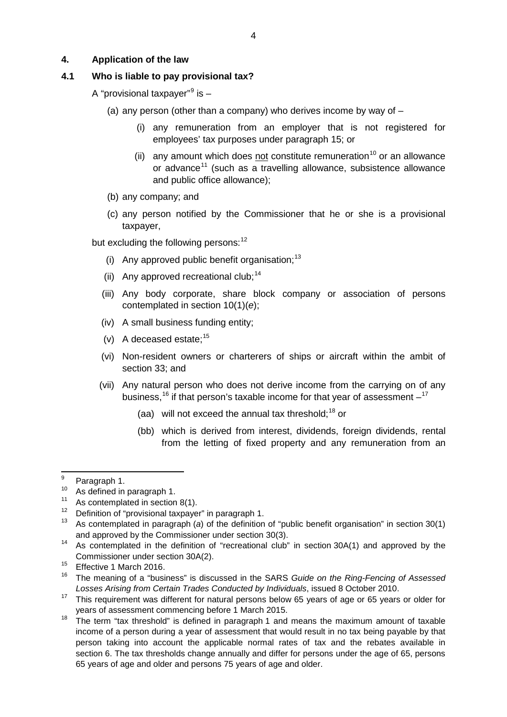## <span id="page-3-0"></span>**4. Application of the law**

# <span id="page-3-1"></span>**4.1 Who is liable to pay provisional tax?**

A "provisional taxpayer"<sup>[9](#page-3-2)</sup> is -

- (a) any person (other than a company) who derives income by way of
	- (i) any remuneration from an employer that is not registered for employees' tax purposes under paragraph 15; or
	- (ii) any amount which does not constitute remuneration<sup>[10](#page-3-3)</sup> or an allowance or advance<sup>[11](#page-3-4)</sup> (such as a travelling allowance, subsistence allowance and public office allowance);
- (b) any company; and
- (c) any person notified by the Commissioner that he or she is a provisional taxpayer,

but excluding the following persons:<sup>[12](#page-3-5)</sup>

- (i) Any approved public benefit organisation;  $13$
- (ii) Any approved recreational club:  $14$
- (iii) Any body corporate, share block company or association of persons contemplated in section 10(1)(*e*);
- (iv) A small business funding entity;
- (v) A deceased estate:  $15$
- (vi) Non-resident owners or charterers of ships or aircraft within the ambit of section 33; and
- (vii) Any natural person who does not derive income from the carrying on of any business.<sup>[16](#page-3-9)</sup> if that person's taxable income for that year of assessment  $-$ <sup>[17](#page-3-10)</sup>
	- (aa) will not exceed the annual tax threshold;<sup>[18](#page-3-11)</sup> or
	- (bb) which is derived from interest, dividends, foreign dividends, rental from the letting of fixed property and any remuneration from an

<span id="page-3-2"></span> $\frac{9}{10}$  Paragraph 1.

<span id="page-3-3"></span> $^{10}$  As defined in paragraph 1.

<span id="page-3-4"></span><sup>&</sup>lt;sup>11</sup> As contemplated in section 8(1).

<span id="page-3-6"></span><span id="page-3-5"></span><sup>&</sup>lt;sup>12</sup> Definition of "provisional taxpayer" in paragraph 1.

<sup>13</sup> As contemplated in paragraph (*a*) of the definition of "public benefit organisation" in section 30(1) and approved by the Commissioner under section 30(3).

<span id="page-3-7"></span><sup>&</sup>lt;sup>14</sup> As contemplated in the definition of "recreational club" in section 30A(1) and approved by the Commissioner under section 30A(2).

<span id="page-3-8"></span><sup>&</sup>lt;sup>15</sup> Effective 1 March 2016.

<span id="page-3-9"></span><sup>16</sup> The meaning of a "business" is discussed in the SARS *Guide on the Ring-Fencing of Assessed Losses Arising from Certain Trades Conducted by Individuals*, issued 8 October 2010.

<span id="page-3-10"></span><sup>&</sup>lt;sup>17</sup> This requirement was different for natural persons below 65 years of age or 65 years or older for years of assessment commencing before 1 March 2015.

<span id="page-3-11"></span> $18\degree$  The term "tax threshold" is defined in paragraph 1 and means the maximum amount of taxable income of a person during a year of assessment that would result in no tax being payable by that person taking into account the applicable normal rates of tax and the rebates available in section 6. The tax thresholds change annually and differ for persons under the age of 65, persons 65 years of age and older and persons 75 years of age and older.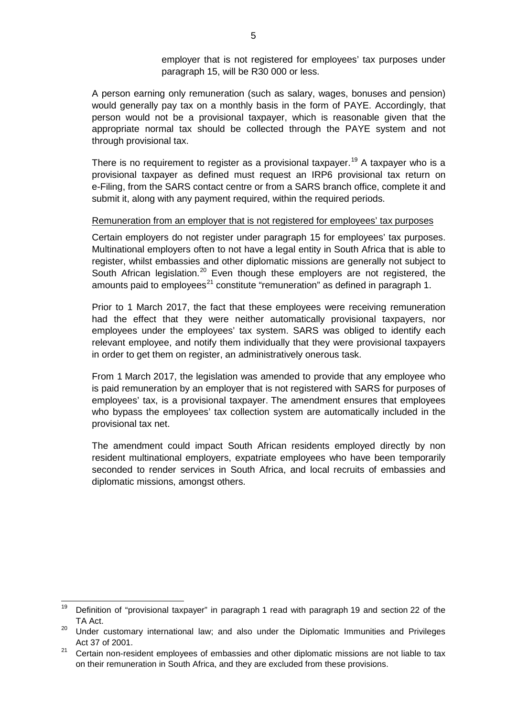employer that is not registered for employees' tax purposes under paragraph 15, will be R30 000 or less.

A person earning only remuneration (such as salary, wages, bonuses and pension) would generally pay tax on a monthly basis in the form of PAYE. Accordingly, that person would not be a provisional taxpayer, which is reasonable given that the appropriate normal tax should be collected through the PAYE system and not through provisional tax.

There is no requirement to register as a provisional taxpayer.<sup>[19](#page-4-0)</sup> A taxpayer who is a provisional taxpayer as defined must request an IRP6 provisional tax return on e-Filing, from the SARS contact centre or from a SARS branch office, complete it and submit it, along with any payment required, within the required periods.

#### Remuneration from an employer that is not registered for employees' tax purposes

Certain employers do not register under paragraph 15 for employees' tax purposes. Multinational employers often to not have a legal entity in South Africa that is able to register, whilst embassies and other diplomatic missions are generally not subject to South African legislation.<sup>[20](#page-4-1)</sup> Even though these employers are not registered, the amounts paid to employees<sup>[21](#page-4-2)</sup> constitute "remuneration" as defined in paragraph 1.

Prior to 1 March 2017, the fact that these employees were receiving remuneration had the effect that they were neither automatically provisional taxpayers, nor employees under the employees' tax system. SARS was obliged to identify each relevant employee, and notify them individually that they were provisional taxpayers in order to get them on register, an administratively onerous task.

From 1 March 2017, the legislation was amended to provide that any employee who is paid remuneration by an employer that is not registered with SARS for purposes of employees' tax, is a provisional taxpayer. The amendment ensures that employees who bypass the employees' tax collection system are automatically included in the provisional tax net.

The amendment could impact South African residents employed directly by non resident multinational employers, expatriate employees who have been temporarily seconded to render services in South Africa, and local recruits of embassies and diplomatic missions, amongst others.

<span id="page-4-0"></span><sup>&</sup>lt;sup>19</sup> Definition of "provisional taxpayer" in paragraph 1 read with paragraph 19 and section 22 of the TA Act.

<span id="page-4-1"></span><sup>&</sup>lt;sup>20</sup> Under customary international law; and also under the Diplomatic Immunities and Privileges Act 37 of 2001.

<span id="page-4-2"></span><sup>&</sup>lt;sup>21</sup> Certain non-resident employees of embassies and other diplomatic missions are not liable to tax on their remuneration in South Africa, and they are excluded from these provisions.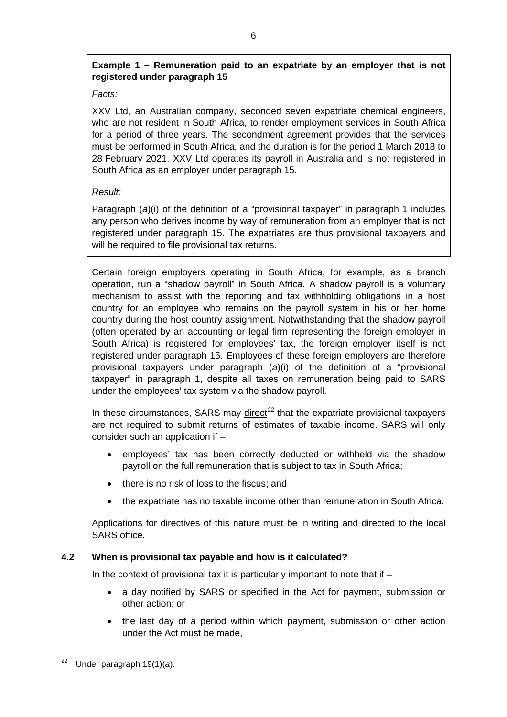# **Example 1 – Remuneration paid to an expatriate by an employer that is not registered under paragraph 15**

*Facts:*

XXV Ltd, an Australian company, seconded seven expatriate chemical engineers, who are not resident in South Africa, to render employment services in South Africa for a period of three years. The secondment agreement provides that the services must be performed in South Africa, and the duration is for the period 1 March 2018 to 28 February 2021. XXV Ltd operates its payroll in Australia and is not registered in South Africa as an employer under paragraph 15.

# *Result:*

Paragraph (*a*)(i) of the definition of a "provisional taxpayer" in paragraph 1 includes any person who derives income by way of remuneration from an employer that is not registered under paragraph 15. The expatriates are thus provisional taxpayers and will be required to file provisional tax returns.

Certain foreign employers operating in South Africa, for example, as a branch operation, run a "shadow payroll" in South Africa. A shadow payroll is a voluntary mechanism to assist with the reporting and tax withholding obligations in a host country for an employee who remains on the payroll system in his or her home country during the host country assignment. Notwithstanding that the shadow payroll (often operated by an accounting or legal firm representing the foreign employer in South Africa) is registered for employees' tax, the foreign employer itself is not registered under paragraph 15. Employees of these foreign employers are therefore provisional taxpayers under paragraph (*a*)(i) of the definition of a "provisional taxpayer" in paragraph 1, despite all taxes on remuneration being paid to SARS under the employees' tax system via the shadow payroll.

In these circumstances, SARS may direct<sup> $22$ </sup> that the expatriate provisional taxpayers are not required to submit returns of estimates of taxable income. SARS will only consider such an application if –

- employees' tax has been correctly deducted or withheld via the shadow payroll on the full remuneration that is subject to tax in South Africa;
- there is no risk of loss to the fiscus; and
- the expatriate has no taxable income other than remuneration in South Africa.

Applications for directives of this nature must be in writing and directed to the local SARS office.

# <span id="page-5-0"></span>**4.2 When is provisional tax payable and how is it calculated?**

In the context of provisional tax it is particularly important to note that if  $-$ 

- a day notified by SARS or specified in the Act for payment, submission or other action; or
- the last day of a period within which payment, submission or other action under the Act must be made,

<span id="page-5-1"></span> <sup>22</sup> Under paragraph 19(1)(*a*).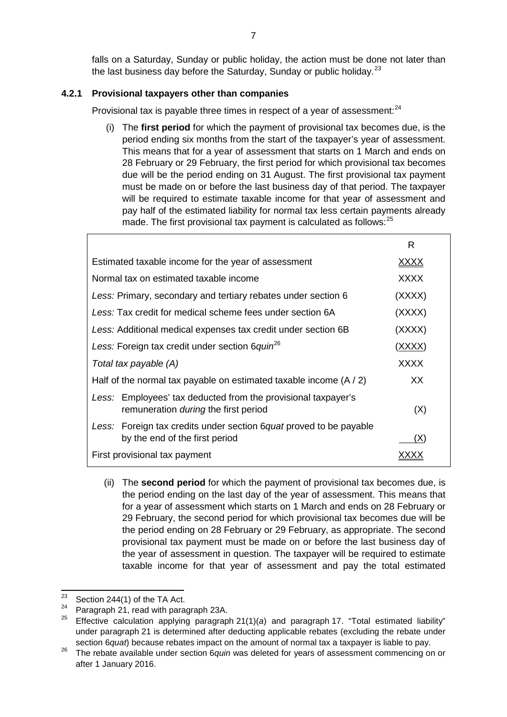# <span id="page-6-0"></span>**4.2.1 Provisional taxpayers other than companies**

Provisional tax is payable three times in respect of a year of assessment: $^{24}$  $^{24}$  $^{24}$ 

(i) The **first period** for which the payment of provisional tax becomes due, is the period ending six months from the start of the taxpayer's year of assessment. This means that for a year of assessment that starts on 1 March and ends on 28 February or 29 February, the first period for which provisional tax becomes due will be the period ending on 31 August. The first provisional tax payment must be made on or before the last business day of that period. The taxpayer will be required to estimate taxable income for that year of assessment and pay half of the estimated liability for normal tax less certain payments already made. The first provisional tax payment is calculated as follows: $^{25}$  $^{25}$  $^{25}$ 

|                                                                                                              | R           |
|--------------------------------------------------------------------------------------------------------------|-------------|
| Estimated taxable income for the year of assessment                                                          | xxxx        |
| Normal tax on estimated taxable income                                                                       | <b>XXXX</b> |
| Less: Primary, secondary and tertiary rebates under section 6                                                | (XXXX)      |
| Less: Tax credit for medical scheme fees under section 6A                                                    | (XXXX)      |
| Less: Additional medical expenses tax credit under section 6B                                                | (XXXX)      |
| Less: Foreign tax credit under section 6quin <sup>26</sup>                                                   | (XXXX)      |
| Total tax payable (A)                                                                                        | XXXX        |
| Half of the normal tax payable on estimated taxable income $(A / 2)$                                         | XX          |
| Less: Employees' tax deducted from the provisional taxpayer's<br>remuneration <i>during</i> the first period | (X)         |
| Less: Foreign tax credits under section 6quat proved to be payable<br>by the end of the first period         | (X)         |
| First provisional tax payment                                                                                |             |

(ii) The **second period** for which the payment of provisional tax becomes due, is the period ending on the last day of the year of assessment. This means that for a year of assessment which starts on 1 March and ends on 28 February or 29 February, the second period for which provisional tax becomes due will be the period ending on 28 February or 29 February, as appropriate. The second provisional tax payment must be made on or before the last business day of the year of assessment in question. The taxpayer will be required to estimate taxable income for that year of assessment and pay the total estimated

<span id="page-6-1"></span><sup>&</sup>lt;sup>23</sup> Section 244(1) of the TA Act.

<span id="page-6-2"></span><sup>&</sup>lt;sup>24</sup> Paragraph 21, read with paragraph 23A.

<span id="page-6-3"></span><sup>25</sup> Effective calculation applying paragraph 21(1)(*a*) and paragraph 17. "Total estimated liability" under paragraph 21 is determined after deducting applicable rebates (excluding the rebate under section 6*quat*) because rebates impact on the amount of normal tax a taxpayer is liable to pay.

<span id="page-6-4"></span><sup>&</sup>lt;sup>26</sup> The rebate available under section 6*quin* was deleted for years of assessment commencing on or after 1 January 2016.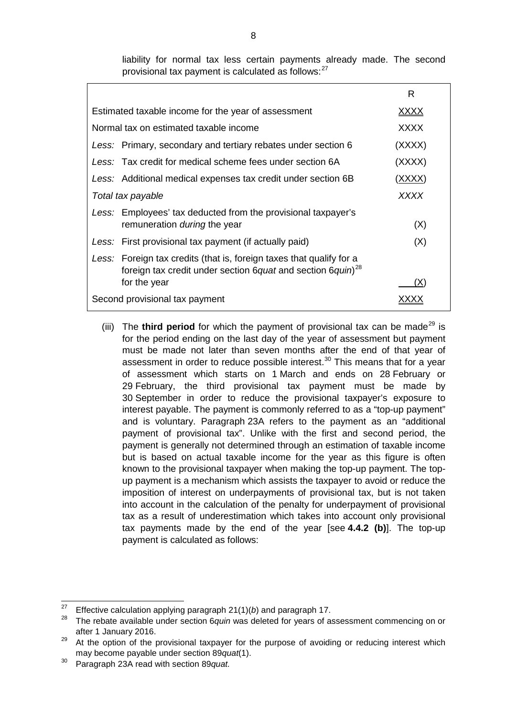liability for normal tax less certain payments already made. The second provisional tax payment is calculated as follows:<sup>[27](#page-7-0)</sup>

|                                                                                                                                                 | R           |
|-------------------------------------------------------------------------------------------------------------------------------------------------|-------------|
| Estimated taxable income for the year of assessment                                                                                             |             |
| Normal tax on estimated taxable income                                                                                                          | <b>XXXX</b> |
| Less: Primary, secondary and tertiary rebates under section 6                                                                                   | (XXXX)      |
| Less: Tax credit for medical scheme fees under section 6A                                                                                       | (XXXX)      |
| Less: Additional medical expenses tax credit under section 6B                                                                                   | (XXXX       |
| Total tax payable                                                                                                                               | <b>XXXX</b> |
| Less: Employees' tax deducted from the provisional taxpayer's<br>remuneration <i>during</i> the year                                            | (X)         |
| Less: First provisional tax payment (if actually paid)                                                                                          | (X)         |
| Less: Foreign tax credits (that is, foreign taxes that qualify for a<br>foreign tax credit under section 6quat and section 6quin) <sup>28</sup> |             |
| for the year                                                                                                                                    | X.          |
| Second provisional tax payment                                                                                                                  |             |

(iii) The **third period** for which the payment of provisional tax can be made<sup>[29](#page-7-2)</sup> is for the period ending on the last day of the year of assessment but payment must be made not later than seven months after the end of that year of assessment in order to reduce possible interest.<sup>[30](#page-7-3)</sup> This means that for a year of assessment which starts on 1 March and ends on 28 February or 29 February, the third provisional tax payment must be made by 30 September in order to reduce the provisional taxpayer's exposure to interest payable. The payment is commonly referred to as a "top-up payment" and is voluntary. Paragraph 23A refers to the payment as an "additional payment of provisional tax". Unlike with the first and second period, the payment is generally not determined through an estimation of taxable income but is based on actual taxable income for the year as this figure is often known to the provisional taxpayer when making the top-up payment. The topup payment is a mechanism which assists the taxpayer to avoid or reduce the imposition of interest on underpayments of provisional tax, but is not taken into account in the calculation of the penalty for underpayment of provisional tax as a result of underestimation which takes into account only provisional tax payments made by the end of the year [see **[4.4.2 \(b\)](#page-17-1)**]. The top-up payment is calculated as follows:

<span id="page-7-0"></span><sup>&</sup>lt;sup>27</sup> Effective calculation applying paragraph 21(1)(*b*) and paragraph 17.<br><sup>28</sup>  $\pm$ <sup>1</sup>

<span id="page-7-1"></span><sup>28</sup> The rebate available under section 6*quin* was deleted for years of assessment commencing on or after 1 January 2016.

<span id="page-7-2"></span><sup>&</sup>lt;sup>29</sup> At the option of the provisional taxpayer for the purpose of avoiding or reducing interest which may become payable under section 89*quat*(1).

<span id="page-7-3"></span><sup>30</sup> Paragraph 23A read with section 89*quat.*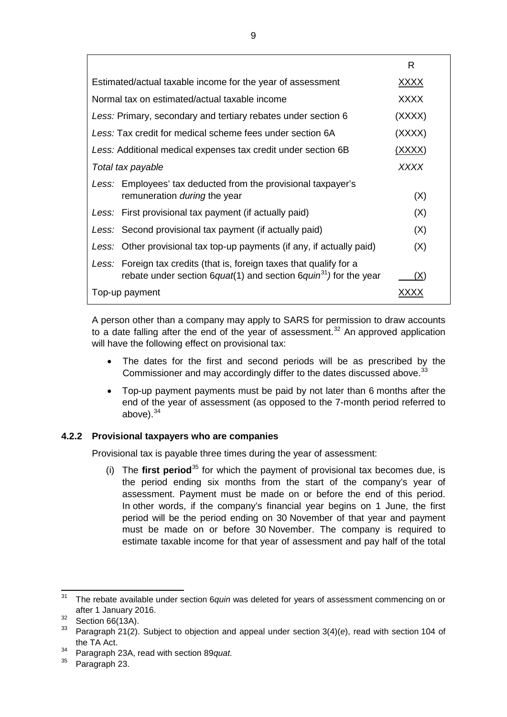|                                                                                                                                                      | R           |
|------------------------------------------------------------------------------------------------------------------------------------------------------|-------------|
| Estimated/actual taxable income for the year of assessment                                                                                           | <u>XXXX</u> |
| Normal tax on estimated/actual taxable income                                                                                                        | <b>XXXX</b> |
| Less: Primary, secondary and tertiary rebates under section 6                                                                                        | (XXXX)      |
| Less: Tax credit for medical scheme fees under section 6A                                                                                            | (XXXX)      |
| Less: Additional medical expenses tax credit under section 6B                                                                                        | (XXXX)      |
| Total tax payable                                                                                                                                    | <b>XXXX</b> |
| Less: Employees' tax deducted from the provisional taxpayer's<br>remuneration <i>during</i> the year                                                 | (X)         |
| Less: First provisional tax payment (if actually paid)                                                                                               | (X)         |
| Less: Second provisional tax payment (if actually paid)                                                                                              | (X)         |
| Less: Other provisional tax top-up payments (if any, if actually paid)                                                                               | (X)         |
| Less: Foreign tax credits (that is, foreign taxes that qualify for a<br>rebate under section 6quat(1) and section 6quin <sup>31</sup> ) for the year | (X)         |
| Top-up payment                                                                                                                                       |             |

A person other than a company may apply to SARS for permission to draw accounts to a date falling after the end of the year of assessment.<sup>[32](#page-8-2)</sup> An approved application will have the following effect on provisional tax:

- The dates for the first and second periods will be as prescribed by the Commissioner and may accordingly differ to the dates discussed above.<sup>[33](#page-8-3)</sup>
- Top-up payment payments must be paid by not later than 6 months after the end of the year of assessment (as opposed to the 7-month period referred to above). $34$

# <span id="page-8-0"></span>**4.2.2 Provisional taxpayers who are companies**

Provisional tax is payable three times during the year of assessment:

(i) The **first period**[35](#page-8-5) for which the payment of provisional tax becomes due, is the period ending six months from the start of the company's year of assessment. Payment must be made on or before the end of this period. In other words, if the company's financial year begins on 1 June, the first period will be the period ending on 30 November of that year and payment must be made on or before 30 November. The company is required to estimate taxable income for that year of assessment and pay half of the total

<span id="page-8-1"></span> <sup>31</sup> The rebate available under section <sup>6</sup>*quin* was deleted for years of assessment commencing on or after 1 January 2016.

<span id="page-8-2"></span> $32$  Section 66(13A).

<span id="page-8-3"></span><sup>33</sup> Paragraph 21(2). Subject to objection and appeal under section 3(4)(*e*), read with section 104 of the TA Act.

<span id="page-8-4"></span><sup>34</sup> Paragraph 23A, read with section 89*quat.*

<span id="page-8-5"></span>Paragraph 23.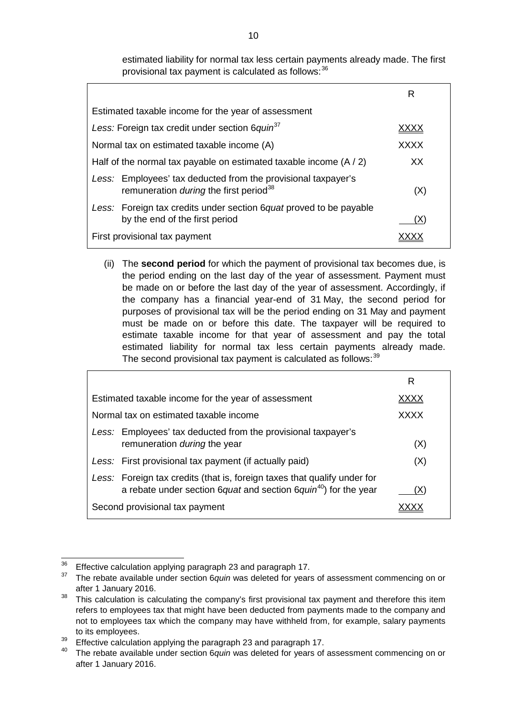estimated liability for normal tax less certain payments already made. The first provisional tax payment is calculated as follows: [36](#page-9-0)

|                                                                                                                            | R           |
|----------------------------------------------------------------------------------------------------------------------------|-------------|
| Estimated taxable income for the year of assessment                                                                        |             |
| Less: Foreign tax credit under section 6quin <sup>37</sup>                                                                 |             |
| Normal tax on estimated taxable income (A)                                                                                 | <b>XXXX</b> |
| Half of the normal tax payable on estimated taxable income $(A / 2)$                                                       | XX          |
| Less: Employees' tax deducted from the provisional taxpayer's<br>remuneration <i>during</i> the first period <sup>38</sup> | (X)         |
| Less: Foreign tax credits under section 6quat proved to be payable<br>by the end of the first period                       |             |
| First provisional tax payment                                                                                              |             |

(ii) The **second period** for which the payment of provisional tax becomes due, is the period ending on the last day of the year of assessment. Payment must be made on or before the last day of the year of assessment. Accordingly, if the company has a financial year-end of 31 May, the second period for purposes of provisional tax will be the period ending on 31 May and payment must be made on or before this date. The taxpayer will be required to estimate taxable income for that year of assessment and pay the total estimated liability for normal tax less certain payments already made. The second provisional tax payment is calculated as follows: [39](#page-9-3)

|                                                                                                                                                         | R           |
|---------------------------------------------------------------------------------------------------------------------------------------------------------|-------------|
| Estimated taxable income for the year of assessment                                                                                                     |             |
| Normal tax on estimated taxable income                                                                                                                  | <b>XXXX</b> |
| Less: Employees' tax deducted from the provisional taxpayer's<br>remuneration <i>during</i> the year                                                    | (X)         |
| Less: First provisional tax payment (if actually paid)                                                                                                  | (X)         |
| Less: Foreign tax credits (that is, foreign taxes that qualify under for<br>a rebate under section 6quat and section 6quin <sup>40</sup> ) for the year |             |
| Second provisional tax payment                                                                                                                          |             |

<span id="page-9-0"></span><sup>&</sup>lt;sup>36</sup> Effective calculation applying paragraph 23 and paragraph 17.

<span id="page-9-1"></span><sup>37</sup> The rebate available under section 6*quin* was deleted for years of assessment commencing on or after 1 January 2016.

<span id="page-9-2"></span> $38$  This calculation is calculating the company's first provisional tax payment and therefore this item refers to employees tax that might have been deducted from payments made to the company and not to employees tax which the company may have withheld from, for example, salary payments to its employees.

 $39$  Effective calculation applying the paragraph 23 and paragraph 17.

<span id="page-9-4"></span><span id="page-9-3"></span><sup>40</sup> The rebate available under section 6*quin* was deleted for years of assessment commencing on or after 1 January 2016.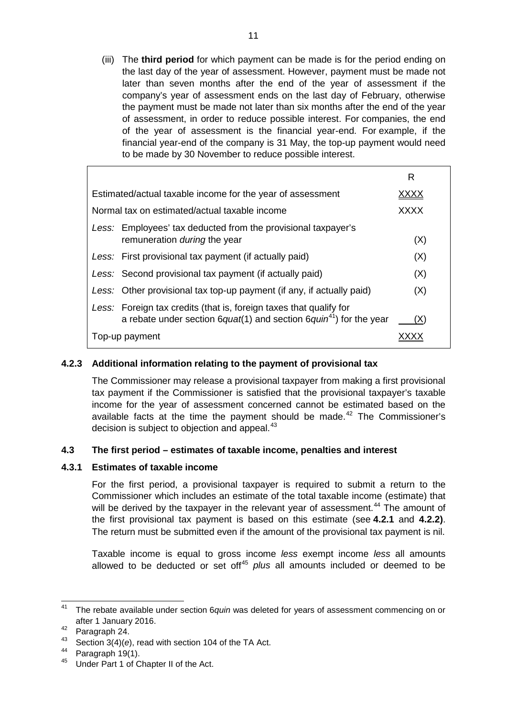(iii) The **third period** for which payment can be made is for the period ending on the last day of the year of assessment. However, payment must be made not later than seven months after the end of the year of assessment if the company's year of assessment ends on the last day of February, otherwise the payment must be made not later than six months after the end of the year of assessment, in order to reduce possible interest. For companies, the end of the year of assessment is the financial year-end. For example, if the financial year-end of the company is 31 May, the top-up payment would need to be made by 30 November to reduce possible interest.

|                                                                                                                                                            | R           |
|------------------------------------------------------------------------------------------------------------------------------------------------------------|-------------|
| Estimated/actual taxable income for the year of assessment                                                                                                 |             |
| Normal tax on estimated/actual taxable income                                                                                                              | <b>XXXX</b> |
| Less: Employees' tax deducted from the provisional taxpayer's<br>remuneration <i>during</i> the year                                                       | (X)         |
| Less: First provisional tax payment (if actually paid)                                                                                                     | (X)         |
| Less: Second provisional tax payment (if actually paid)                                                                                                    | (X)         |
| Less: Other provisional tax top-up payment (if any, if actually paid)                                                                                      | (X)         |
| Less: Foreign tax credits (that is, foreign taxes that qualify for<br>a rebate under section $6$ quat(1) and section $6$ quin <sup>41</sup> ) for the year | (X)         |
| Top-up payment                                                                                                                                             |             |

# <span id="page-10-0"></span>**4.2.3 Additional information relating to the payment of provisional tax**

The Commissioner may release a provisional taxpayer from making a first provisional tax payment if the Commissioner is satisfied that the provisional taxpayer's taxable income for the year of assessment concerned cannot be estimated based on the available facts at the time the payment should be made.<sup>[42](#page-10-4)</sup> The Commissioner's decision is subject to objection and appeal.<sup>[43](#page-10-5)</sup>

## <span id="page-10-1"></span>**4.3 The first period – estimates of taxable income, penalties and interest**

#### <span id="page-10-2"></span>**4.3.1 Estimates of taxable income**

For the first period, a provisional taxpayer is required to submit a return to the Commissioner which includes an estimate of the total taxable income (estimate) that will be derived by the taxpayer in the relevant year of assessment.<sup>[44](#page-10-6)</sup> The amount of the first provisional tax payment is based on this estimate (see **[4.2.1](#page-6-0)** and **[4.2.2\)](#page-8-0)**. The return must be submitted even if the amount of the provisional tax payment is nil.

Taxable income is equal to gross income *less* exempt income *less* all amounts allowed to be deducted or set off<sup>[45](#page-10-7)</sup> *plus* all amounts included or deemed to be

<span id="page-10-3"></span> <sup>41</sup> The rebate available under section <sup>6</sup>*quin* was deleted for years of assessment commencing on or after 1 January 2016.

<span id="page-10-4"></span> $^{42}$  Paragraph 24.

<span id="page-10-5"></span><sup>&</sup>lt;sup>43</sup> Section 3(4)(*e*), read with section 104 of the TA Act.

<span id="page-10-7"></span><span id="page-10-6"></span> $^{44}$  Paragraph 19(1).

Under Part 1 of Chapter II of the Act.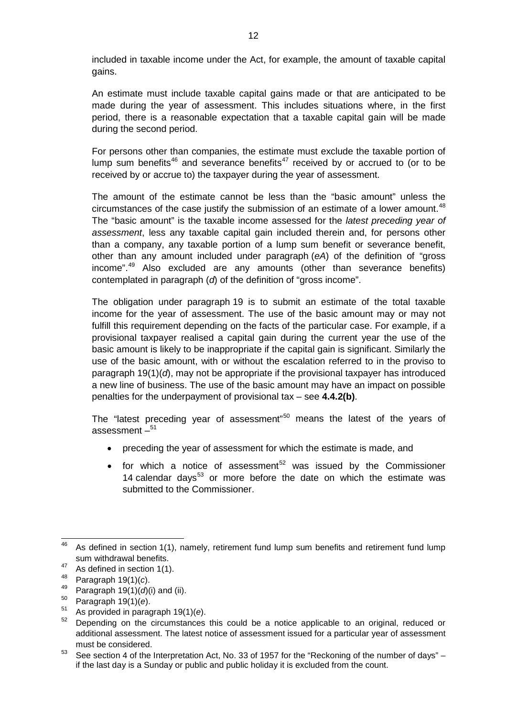included in taxable income under the Act, for example, the amount of taxable capital gains.

An estimate must include taxable capital gains made or that are anticipated to be made during the year of assessment. This includes situations where, in the first period, there is a reasonable expectation that a taxable capital gain will be made during the second period.

For persons other than companies, the estimate must exclude the taxable portion of lump sum benefits<sup>[46](#page-11-0)</sup> and severance benefits<sup>[47](#page-11-1)</sup> received by or accrued to (or to be received by or accrue to) the taxpayer during the year of assessment.

The amount of the estimate cannot be less than the "basic amount" unless the circumstances of the case justify the submission of an estimate of a lower amount.<sup>[48](#page-11-2)</sup> The "basic amount" is the taxable income assessed for the *latest preceding year of assessment*, less any taxable capital gain included therein and, for persons other than a company, any taxable portion of a lump sum benefit or severance benefit, other than any amount included under paragraph (*eA*) of the definition of "gross income". [49](#page-11-3) Also excluded are any amounts (other than severance benefits) contemplated in paragraph (*d*) of the definition of "gross income".

The obligation under paragraph 19 is to submit an estimate of the total taxable income for the year of assessment. The use of the basic amount may or may not fulfill this requirement depending on the facts of the particular case. For example, if a provisional taxpayer realised a capital gain during the current year the use of the basic amount is likely to be inappropriate if the capital gain is significant. Similarly the use of the basic amount, with or without the escalation referred to in the proviso to paragraph 19(1)(*d*), may not be appropriate if the provisional taxpayer has introduced a new line of business. The use of the basic amount may have an impact on possible penalties for the underpayment of provisional tax – see **[4.4.2\(b\)](#page-17-1)**.

The "latest preceding year of assessment"<sup>[50](#page-11-4)</sup> means the latest of the years of assessment $-51$  $-51$ 

- preceding the year of assessment for which the estimate is made, and
- for which a notice of assessment<sup>[52](#page-11-6)</sup> was issued by the Commissioner 14 calendar days<sup>[53](#page-11-7)</sup> or more before the date on which the estimate was submitted to the Commissioner.

<span id="page-11-0"></span> $46$  As defined in section 1(1), namely, retirement fund lump sum benefits and retirement fund lump sum withdrawal benefits.

<span id="page-11-1"></span><sup>47</sup> As defined in section 1(1).

<span id="page-11-2"></span><sup>48</sup> Paragraph 19(1)(*c*).

<span id="page-11-3"></span><sup>&</sup>lt;sup>49</sup> Paragraph 19(1)(*d*)(*i*) and (*ii*).

<span id="page-11-4"></span> $^{50}$  Paragraph 19(1)(*e*).

<span id="page-11-5"></span> $^{51}$  As provided in paragraph 19(1)(*e*).<br> $^{52}$  Depending on the circumstances

<span id="page-11-6"></span>Depending on the circumstances this could be a notice applicable to an original, reduced or additional assessment. The latest notice of assessment issued for a particular year of assessment must be considered.

<span id="page-11-7"></span> $53$  See section 4 of the Interpretation Act, No. 33 of 1957 for the "Reckoning of the number of days" – if the last day is a Sunday or public and public holiday it is excluded from the count.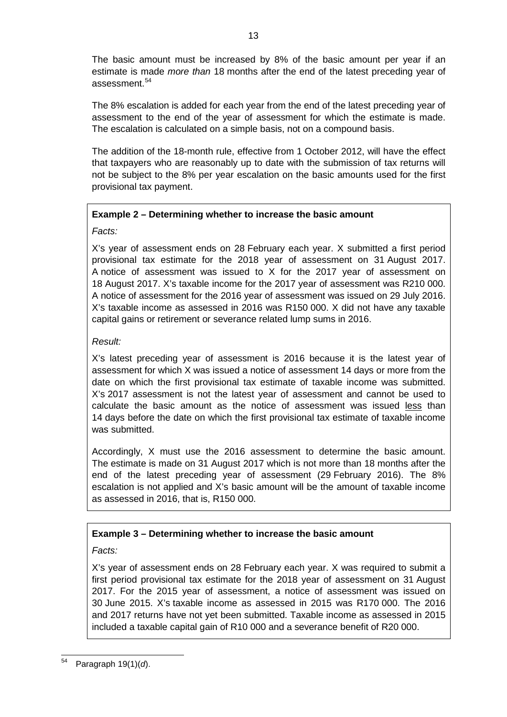The basic amount must be increased by 8% of the basic amount per year if an estimate is made *more than* 18 months after the end of the latest preceding year of assessment.[54](#page-12-0)

The 8% escalation is added for each year from the end of the latest preceding year of assessment to the end of the year of assessment for which the estimate is made. The escalation is calculated on a simple basis, not on a compound basis.

The addition of the 18-month rule, effective from 1 October 2012, will have the effect that taxpayers who are reasonably up to date with the submission of tax returns will not be subject to the 8% per year escalation on the basic amounts used for the first provisional tax payment.

# **Example 2 – Determining whether to increase the basic amount**

*Facts:*

X's year of assessment ends on 28 February each year. X submitted a first period provisional tax estimate for the 2018 year of assessment on 31 August 2017. A notice of assessment was issued to X for the 2017 year of assessment on 18 August 2017. X's taxable income for the 2017 year of assessment was R210 000. A notice of assessment for the 2016 year of assessment was issued on 29 July 2016. X's taxable income as assessed in 2016 was R150 000. X did not have any taxable capital gains or retirement or severance related lump sums in 2016.

# *Result:*

X's latest preceding year of assessment is 2016 because it is the latest year of assessment for which X was issued a notice of assessment 14 days or more from the date on which the first provisional tax estimate of taxable income was submitted. X's 2017 assessment is not the latest year of assessment and cannot be used to calculate the basic amount as the notice of assessment was issued less than 14 days before the date on which the first provisional tax estimate of taxable income was submitted.

Accordingly, X must use the 2016 assessment to determine the basic amount. The estimate is made on 31 August 2017 which is not more than 18 months after the end of the latest preceding year of assessment (29 February 2016). The 8% escalation is not applied and X's basic amount will be the amount of taxable income as assessed in 2016, that is, R150 000.

# **Example 3 – Determining whether to increase the basic amount**

*Facts:*

X's year of assessment ends on 28 February each year. X was required to submit a first period provisional tax estimate for the 2018 year of assessment on 31 August 2017. For the 2015 year of assessment, a notice of assessment was issued on 30 June 2015. X's taxable income as assessed in 2015 was R170 000. The 2016 and 2017 returns have not yet been submitted. Taxable income as assessed in 2015 included a taxable capital gain of R10 000 and a severance benefit of R20 000.

<span id="page-12-0"></span> <sup>54</sup> Paragraph 19(1)(*d*).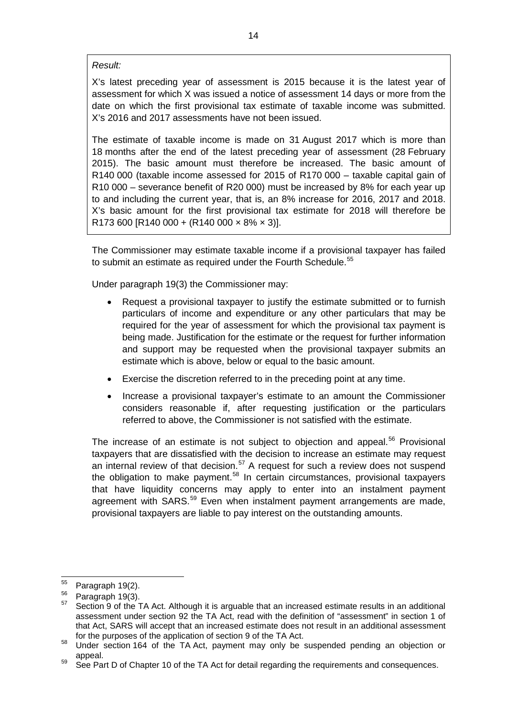#### *Result:*

X's latest preceding year of assessment is 2015 because it is the latest year of assessment for which X was issued a notice of assessment 14 days or more from the date on which the first provisional tax estimate of taxable income was submitted. X's 2016 and 2017 assessments have not been issued.

The estimate of taxable income is made on 31 August 2017 which is more than 18 months after the end of the latest preceding year of assessment (28 February 2015). The basic amount must therefore be increased. The basic amount of R140 000 (taxable income assessed for 2015 of R170 000 – taxable capital gain of R10 000 – severance benefit of R20 000) must be increased by 8% for each year up to and including the current year, that is, an 8% increase for 2016, 2017 and 2018. X's basic amount for the first provisional tax estimate for 2018 will therefore be R173 600 [R140 000 + (R140 000  $\times$  8%  $\times$  3)].

The Commissioner may estimate taxable income if a provisional taxpayer has failed to submit an estimate as required under the Fourth Schedule.<sup>[55](#page-13-0)</sup>

Under paragraph 19(3) the Commissioner may:

- Request a provisional taxpayer to justify the estimate submitted or to furnish particulars of income and expenditure or any other particulars that may be required for the year of assessment for which the provisional tax payment is being made. Justification for the estimate or the request for further information and support may be requested when the provisional taxpayer submits an estimate which is above, below or equal to the basic amount.
- Exercise the discretion referred to in the preceding point at any time.
- Increase a provisional taxpayer's estimate to an amount the Commissioner considers reasonable if, after requesting justification or the particulars referred to above, the Commissioner is not satisfied with the estimate.

The increase of an estimate is not subject to objection and appeal.<sup>[56](#page-13-1)</sup> Provisional taxpayers that are dissatisfied with the decision to increase an estimate may request an internal review of that decision.<sup>[57](#page-13-2)</sup> A request for such a review does not suspend the obligation to make payment.<sup>[58](#page-13-3)</sup> In certain circumstances, provisional taxpayers that have liquidity concerns may apply to enter into an instalment payment agreement with SARS.<sup>[59](#page-13-4)</sup> Even when instalment payment arrangements are made, provisional taxpayers are liable to pay interest on the outstanding amounts.

<span id="page-13-0"></span> $^{55}$  Paragraph 19(2).

<span id="page-13-2"></span><span id="page-13-1"></span><sup>&</sup>lt;sup>56</sup> Paragraph 19(3).<br><sup>57</sup> Section 9 of the TA Act. Although it is arguable that an increased estimate results in an additional assessment under section 92 the TA Act, read with the definition of "assessment" in section 1 of that Act, SARS will accept that an increased estimate does not result in an additional assessment

<span id="page-13-3"></span>for the purposes of the application of section 9 of the TA Act.<br><sup>58</sup> Under section 164 of the TA Act, payment may only be suspended pending an objection or appeal.<br><sup>59</sup> See Part D of Chapter 10 of the TA Act for detail regarding the requirements and consequences.

<span id="page-13-4"></span>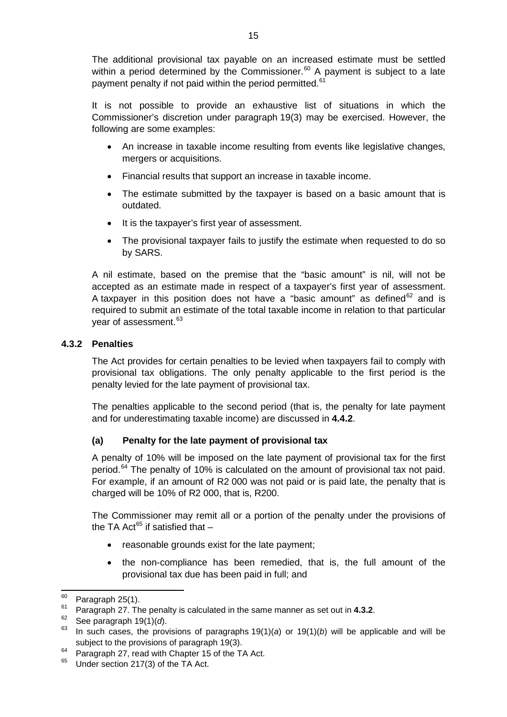The additional provisional tax payable on an increased estimate must be settled within a period determined by the Commissioner.<sup>[60](#page-14-2)</sup> A payment is subject to a late payment penalty if not paid within the period permitted.<sup>[61](#page-14-3)</sup>

It is not possible to provide an exhaustive list of situations in which the Commissioner's discretion under paragraph 19(3) may be exercised. However, the following are some examples:

- An increase in taxable income resulting from events like legislative changes, mergers or acquisitions.
- Financial results that support an increase in taxable income.
- The estimate submitted by the taxpayer is based on a basic amount that is outdated.
- It is the taxpayer's first year of assessment.
- The provisional taxpayer fails to justify the estimate when requested to do so by SARS.

A nil estimate, based on the premise that the "basic amount" is nil, will not be accepted as an estimate made in respect of a taxpayer's first year of assessment. A taxpayer in this position does not have a "basic amount" as defined  $62$  and is required to submit an estimate of the total taxable income in relation to that particular year of assessment.<sup>[63](#page-14-5)</sup>

# <span id="page-14-0"></span>**4.3.2 Penalties**

The Act provides for certain penalties to be levied when taxpayers fail to comply with provisional tax obligations. The only penalty applicable to the first period is the penalty levied for the late payment of provisional tax.

The penalties applicable to the second period (that is, the penalty for late payment and for underestimating taxable income) are discussed in **[4.4.2](#page-16-2)**.

# <span id="page-14-8"></span><span id="page-14-1"></span>**(a) Penalty for the late payment of provisional tax**

A penalty of 10% will be imposed on the late payment of provisional tax for the first period.<sup>[64](#page-14-6)</sup> The penalty of 10% is calculated on the amount of provisional tax not paid. For example, if an amount of R2 000 was not paid or is paid late, the penalty that is charged will be 10% of R2 000, that is, R200.

The Commissioner may remit all or a portion of the penalty under the provisions of the TA Act<sup>[65](#page-14-7)</sup> if satisfied that  $-$ 

- reasonable grounds exist for the late payment;
- the non-compliance has been remedied, that is, the full amount of the provisional tax due has been paid in full; and

<span id="page-14-2"></span> $^{60}$  Paragraph 25(1).

<span id="page-14-3"></span><sup>&</sup>lt;sup>61</sup> Paragraph 27[.](#page-14-0) The penalty is calculated in the same manner as set out in **4.3.2**.<br><sup>62</sup> See paragraph 19(1)(*d*).<br><sup>63</sup> Jacques assets the previous of parameter 40(4)(c) as 40(4)(b) will be appli

<span id="page-14-4"></span>

<span id="page-14-5"></span><sup>63</sup> In such cases, the provisions of paragraphs 19(1)(*a*) or 19(1)(*b*) will be applicable and will be subject to the provisions of paragraph 19(3).

<span id="page-14-6"></span> $^{64}$  Paragraph 27, read with Chapter 15 of the TA Act.

<span id="page-14-7"></span>Under section  $217(3)$  of the TA Act.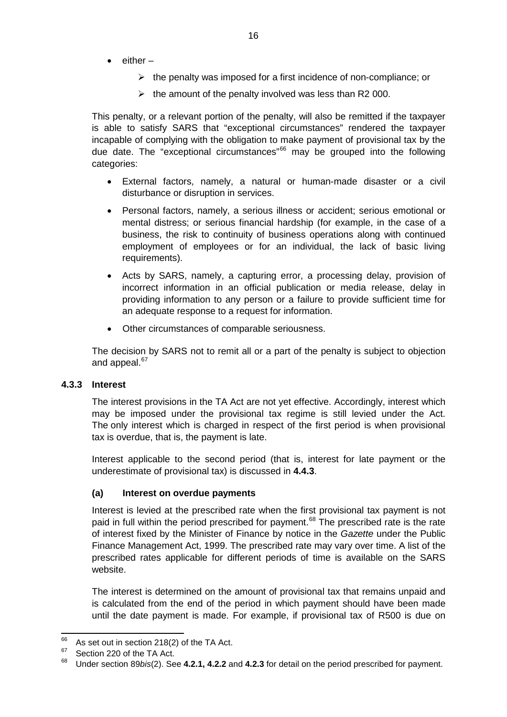- $e$ ither  $-$ 
	- $\triangleright$  the penalty was imposed for a first incidence of non-compliance; or
	- $\triangleright$  the amount of the penalty involved was less than R2 000.

This penalty, or a relevant portion of the penalty, will also be remitted if the taxpayer is able to satisfy SARS that "exceptional circumstances" rendered the taxpayer incapable of complying with the obligation to make payment of provisional tax by the due date. The "exceptional circumstances" $66$  may be grouped into the following categories:

- External factors, namely, a natural or human-made disaster or a civil disturbance or disruption in services.
- Personal factors, namely, a serious illness or accident; serious emotional or mental distress; or serious financial hardship (for example, in the case of a business, the risk to continuity of business operations along with continued employment of employees or for an individual, the lack of basic living requirements).
- Acts by SARS, namely, a capturing error, a processing delay, provision of incorrect information in an official publication or media release, delay in providing information to any person or a failure to provide sufficient time for an adequate response to a request for information.
- Other circumstances of comparable seriousness.

The decision by SARS not to remit all or a part of the penalty is subject to objection and appeal.<sup>[67](#page-15-3)</sup>

## <span id="page-15-0"></span>**4.3.3 Interest**

The interest provisions in the TA Act are not yet effective. Accordingly, interest which may be imposed under the provisional tax regime is still levied under the Act. The only interest which is charged in respect of the first period is when provisional tax is overdue, that is, the payment is late.

Interest applicable to the second period (that is, interest for late payment or the underestimate of provisional tax) is discussed in **[4.4.3](#page-22-0)**.

## <span id="page-15-1"></span>**(a) Interest on overdue payments**

Interest is levied at the prescribed rate when the first provisional tax payment is not paid in full within the period prescribed for payment.<sup>[68](#page-15-4)</sup> The prescribed rate is the rate of interest fixed by the Minister of Finance by notice in the *Gazette* under the Public Finance Management Act, 1999. The prescribed rate may vary over time. A list of the prescribed rates applicable for different periods of time is available on the SARS website.

The interest is determined on the amount of provisional tax that remains unpaid and is calculated from the end of the period in which payment should have been made until the date payment is made. For example, if provisional tax of R500 is due on

<span id="page-15-2"></span> $^{66}$  As set out in section 218(2) of the TA Act.

<span id="page-15-4"></span><span id="page-15-3"></span> $^{67}$  Section 220 of the TA Act.

<sup>68</sup> Under section 89*bis*(2). See **4.2.1, 4.2.2** and **4.2.3** for detail on the period prescribed for payment.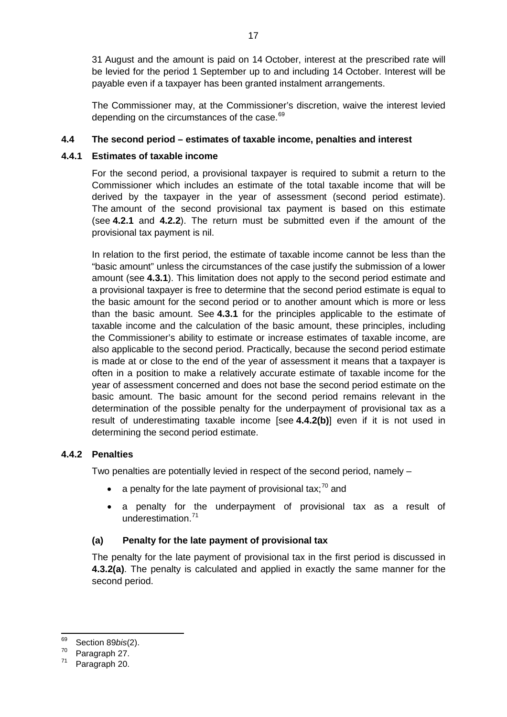31 August and the amount is paid on 14 October, interest at the prescribed rate will be levied for the period 1 September up to and including 14 October. Interest will be payable even if a taxpayer has been granted instalment arrangements.

The Commissioner may, at the Commissioner's discretion, waive the interest levied depending on the circumstances of the case.<sup>[69](#page-16-4)</sup>

# <span id="page-16-0"></span>**4.4 The second period – estimates of taxable income, penalties and interest**

# <span id="page-16-1"></span>**4.4.1 Estimates of taxable income**

For the second period, a provisional taxpayer is required to submit a return to the Commissioner which includes an estimate of the total taxable income that will be derived by the taxpayer in the year of assessment (second period estimate). The amount of the second provisional tax payment is based on this estimate (see **[4.2.1](#page-6-0)** and **[4.2.2](#page-8-0)**). The return must be submitted even if the amount of the provisional tax payment is nil.

In relation to the first period, the estimate of taxable income cannot be less than the "basic amount" unless the circumstances of the case justify the submission of a lower amount (see **[4.3.1](#page-10-2)**). This limitation does not apply to the second period estimate and a provisional taxpayer is free to determine that the second period estimate is equal to the basic amount for the second period or to another amount which is more or less than the basic amount. See **[4.3.1](#page-10-2)** for the principles applicable to the estimate of taxable income and the calculation of the basic amount, these principles, including the Commissioner's ability to estimate or increase estimates of taxable income, are also applicable to the second period. Practically, because the second period estimate is made at or close to the end of the year of assessment it means that a taxpayer is often in a position to make a relatively accurate estimate of taxable income for the year of assessment concerned and does not base the second period estimate on the basic amount. The basic amount for the second period remains relevant in the determination of the possible penalty for the underpayment of provisional tax as a result of underestimating taxable income [see **[4.4.2\(b\)](#page-17-1)**] even if it is not used in determining the second period estimate.

# <span id="page-16-2"></span>**4.4.2 Penalties**

Two penalties are potentially levied in respect of the second period, namely –

- a penalty for the late payment of provisional tax;<sup>[70](#page-16-5)</sup> and
- a penalty for the underpayment of provisional tax as a result of underestimation. [71](#page-16-6)

## <span id="page-16-3"></span>**(a) Penalty for the late payment of provisional tax**

The penalty for the late payment of provisional tax in the first period is discussed in **[4.3.2\(a\)](#page-14-8)**. The penalty is calculated and applied in exactly the same manner for the second period.

<span id="page-16-4"></span> <sup>69</sup> Section <sup>89</sup>*bis*(2).

<span id="page-16-5"></span> $\frac{70}{71}$  Paragraph 27.

<span id="page-16-6"></span>Paragraph 20.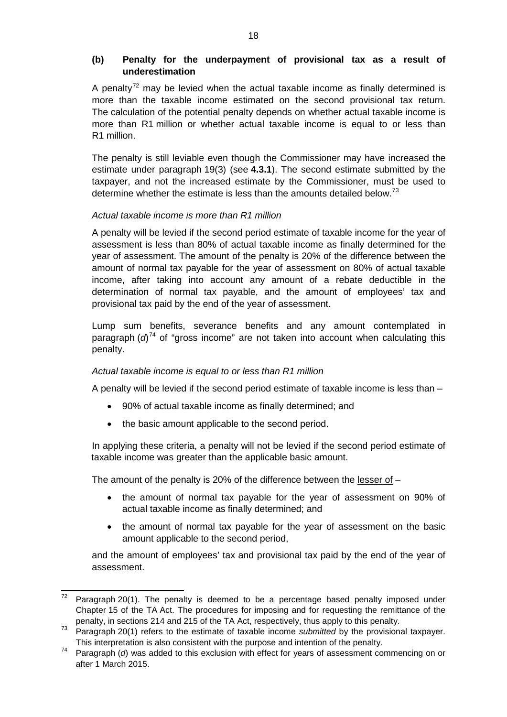# <span id="page-17-1"></span><span id="page-17-0"></span>**(b) Penalty for the underpayment of provisional tax as a result of underestimation**

A penalty<sup>[72](#page-17-2)</sup> may be levied when the actual taxable income as finally determined is more than the taxable income estimated on the second provisional tax return. The calculation of the potential penalty depends on whether actual taxable income is more than R1 million or whether actual taxable income is equal to or less than R1 million.

The penalty is still leviable even though the Commissioner may have increased the estimate under paragraph 19(3) (see **[4.3.1](#page-10-2)**). The second estimate submitted by the taxpayer, and not the increased estimate by the Commissioner, must be used to determine whether the estimate is less than the amounts detailed below.<sup>[73](#page-17-3)</sup>

## *Actual taxable income is more than R1 million*

A penalty will be levied if the second period estimate of taxable income for the year of assessment is less than 80% of actual taxable income as finally determined for the year of assessment. The amount of the penalty is 20% of the difference between the amount of normal tax payable for the year of assessment on 80% of actual taxable income, after taking into account any amount of a rebate deductible in the determination of normal tax payable, and the amount of employees' tax and provisional tax paid by the end of the year of assessment.

Lump sum benefits, severance benefits and any amount contemplated in paragraph (*d*) [74](#page-17-4) of "gross income" are not taken into account when calculating this penalty.

## *Actual taxable income is equal to or less than R1 million*

A penalty will be levied if the second period estimate of taxable income is less than –

- 90% of actual taxable income as finally determined; and
- the basic amount applicable to the second period.

In applying these criteria, a penalty will not be levied if the second period estimate of taxable income was greater than the applicable basic amount.

The amount of the penalty is 20% of the difference between the lesser of –

- the amount of normal tax payable for the year of assessment on 90% of actual taxable income as finally determined; and
- the amount of normal tax payable for the year of assessment on the basic amount applicable to the second period,

and the amount of employees' tax and provisional tax paid by the end of the year of assessment.

<span id="page-17-2"></span> $72$  Paragraph 20(1). The penalty is deemed to be a percentage based penalty imposed under Chapter 15 of the TA Act. The procedures for imposing and for requesting the remittance of the penalty, in sections 214 and 215 of the TA Act, respectively, thus apply to this penalty.

<span id="page-17-3"></span><sup>73</sup> Paragraph 20(1) refers to the estimate of taxable income *submitted* by the provisional taxpayer. This interpretation is also consistent with the purpose and intention of the penalty.

<span id="page-17-4"></span><sup>74</sup> Paragraph (*d*) was added to this exclusion with effect for years of assessment commencing on or after 1 March 2015.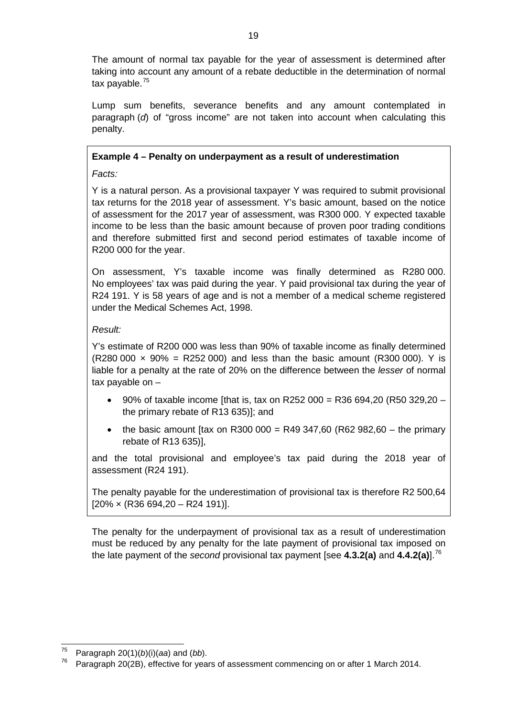The amount of normal tax payable for the year of assessment is determined after taking into account any amount of a rebate deductible in the determination of normal tax payable. $^{75}$  $^{75}$  $^{75}$ 

Lump sum benefits, severance benefits and any amount contemplated in paragraph (*d*) of "gross income" are not taken into account when calculating this penalty.

# **Example 4 – Penalty on underpayment as a result of underestimation**

*Facts:*

Y is a natural person. As a provisional taxpayer Y was required to submit provisional tax returns for the 2018 year of assessment. Y's basic amount, based on the notice of assessment for the 2017 year of assessment, was R300 000. Y expected taxable income to be less than the basic amount because of proven poor trading conditions and therefore submitted first and second period estimates of taxable income of R200 000 for the year.

On assessment, Y's taxable income was finally determined as R280 000. No employees' tax was paid during the year. Y paid provisional tax during the year of R24 191. Y is 58 years of age and is not a member of a medical scheme registered under the Medical Schemes Act, 1998.

*Result:*

Y's estimate of R200 000 was less than 90% of taxable income as finally determined  $(R280 000 \times 90\% = R252 000)$  and less than the basic amount  $(R300 000)$ . Y is liable for a penalty at the rate of 20% on the difference between the *lesser* of normal tax payable on –

- 90% of taxable income [that is, tax on R252 000 = R36 694,20 (R50 329,20 the primary rebate of R13 635)]; and
- the basic amount  $\text{[tax on R300 000 = R49 347,60 (R62 982,60 the primary}$ rebate of R13 635)],

and the total provisional and employee's tax paid during the 2018 year of assessment (R24 191).

The penalty payable for the underestimation of provisional tax is therefore R2 500,64  $[20\% \times (R36 694, 20 - R24 191)].$ 

The penalty for the underpayment of provisional tax as a result of underestimation must be reduced by any penalty for the late payment of provisional tax imposed on the late payment of the *second* provisional tax payment [see **4.3.2(a)** and **4.4.2(a)**]. [76](#page-18-1)

<span id="page-18-0"></span><sup>&</sup>lt;sup>75</sup> Paragraph 20(1)(*b*)(i)(*aa*) and (*bb*).

<span id="page-18-1"></span>Paragraph 20(2B), effective for years of assessment commencing on or after 1 March 2014.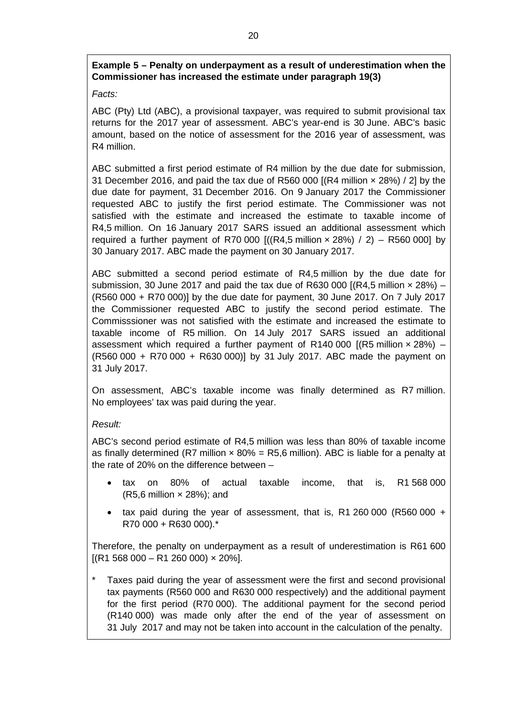# **Example 5 – Penalty on underpayment as a result of underestimation when the Commissioner has increased the estimate under paragraph 19(3)**

*Facts:* 

ABC (Pty) Ltd (ABC), a provisional taxpayer, was required to submit provisional tax returns for the 2017 year of assessment. ABC's year-end is 30 June. ABC's basic amount, based on the notice of assessment for the 2016 year of assessment, was R4 million.

ABC submitted a first period estimate of R4 million by the due date for submission, 31 December 2016, and paid the tax due of R560 000 [(R4 million × 28%) / 2] by the due date for payment, 31 December 2016. On 9 January 2017 the Commissioner requested ABC to justify the first period estimate. The Commissioner was not satisfied with the estimate and increased the estimate to taxable income of R4,5 million. On 16 January 2017 SARS issued an additional assessment which required a further payment of R70 000  $[(R4.5 \text{ million} \times 28\%) / 2] - R560 000]$  by 30 January 2017. ABC made the payment on 30 January 2017.

ABC submitted a second period estimate of R4,5 million by the due date for submission, 30 June 2017 and paid the tax due of R630 000  $[(R4.5 \text{ million} \times 28\%)]$ (R560 000 + R70 000)] by the due date for payment, 30 June 2017. On 7 July 2017 the Commissioner requested ABC to justify the second period estimate. The Commisssioner was not satisfied with the estimate and increased the estimate to taxable income of R5 million. On 14 July 2017 SARS issued an additional assessment which required a further payment of R140 000 [(R5 million  $\times$  28%) – (R560 000 + R70 000 + R630 000)] by 31 July 2017. ABC made the payment on 31 July 2017.

On assessment, ABC's taxable income was finally determined as R7 million. No employees' tax was paid during the year.

## *Result:*

ABC's second period estimate of R4,5 million was less than 80% of taxable income as finally determined (R7 million  $\times$  80% = R5,6 million). ABC is liable for a penalty at the rate of 20% on the difference between –

- tax on 80% of actual taxable income, that is, R1 568 000  $(R5,6$  million  $\times$  28%); and
- tax paid during the year of assessment, that is, R1 260 000 (R560 000 + R70 000 + R630 000).\*

Therefore, the penalty on underpayment as a result of underestimation is R61 600  $[(R1 568 000 - R1 260 000) \times 20\%]$ .

Taxes paid during the year of assessment were the first and second provisional tax payments (R560 000 and R630 000 respectively) and the additional payment for the first period (R70 000). The additional payment for the second period (R140 000) was made only after the end of the year of assessment on 31 July 2017 and may not be taken into account in the calculation of the penalty.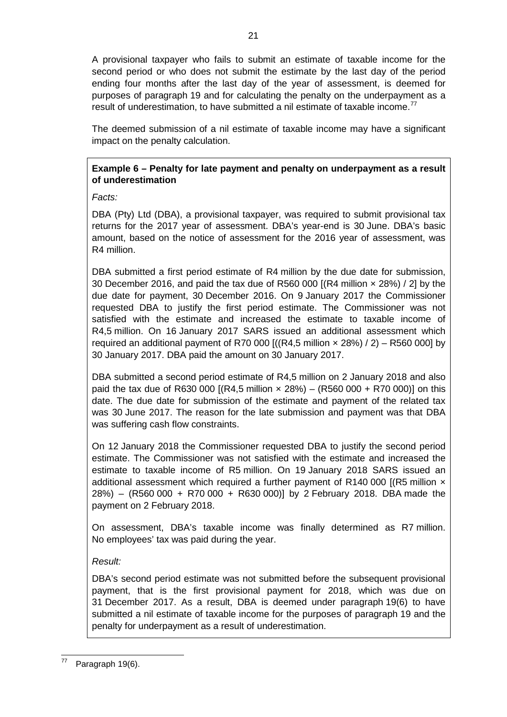A provisional taxpayer who fails to submit an estimate of taxable income for the second period or who does not submit the estimate by the last day of the period ending four months after the last day of the year of assessment, is deemed for purposes of paragraph 19 and for calculating the penalty on the underpayment as a result of underestimation, to have submitted a nil estimate of taxable income.<sup>[77](#page-20-0)</sup>

The deemed submission of a nil estimate of taxable income may have a significant impact on the penalty calculation.

# **Example 6 – Penalty for late payment and penalty on underpayment as a result of underestimation**

*Facts:* 

DBA (Pty) Ltd (DBA), a provisional taxpayer, was required to submit provisional tax returns for the 2017 year of assessment. DBA's year-end is 30 June. DBA's basic amount, based on the notice of assessment for the 2016 year of assessment, was R4 million.

DBA submitted a first period estimate of R4 million by the due date for submission, 30 December 2016, and paid the tax due of R560 000 [(R4 million × 28%) / 2] by the due date for payment, 30 December 2016. On 9 January 2017 the Commissioner requested DBA to justify the first period estimate. The Commissioner was not satisfied with the estimate and increased the estimate to taxable income of R4,5 million. On 16 January 2017 SARS issued an additional assessment which required an additional payment of R70 000  $[(R4.5 \text{ million} \times 28\%) / 2] - R560 000]$  by 30 January 2017. DBA paid the amount on 30 January 2017.

DBA submitted a second period estimate of R4,5 million on 2 January 2018 and also paid the tax due of R630 000  $[(R4.5 \text{ million} \times 28\%) - (R560 000 + R70 000)]$  on this date. The due date for submission of the estimate and payment of the related tax was 30 June 2017. The reason for the late submission and payment was that DBA was suffering cash flow constraints.

On 12 January 2018 the Commissioner requested DBA to justify the second period estimate. The Commissioner was not satisfied with the estimate and increased the estimate to taxable income of R5 million. On 19 January 2018 SARS issued an additional assessment which required a further payment of R140 000  $\int$  (R5 million  $\times$ 28%) – (R560 000 + R70 000 + R630 000)] by 2 February 2018. DBA made the payment on 2 February 2018.

On assessment, DBA's taxable income was finally determined as R7 million. No employees' tax was paid during the year.

*Result:*

DBA's second period estimate was not submitted before the subsequent provisional payment, that is the first provisional payment for 2018, which was due on 31 December 2017. As a result, DBA is deemed under paragraph 19(6) to have submitted a nil estimate of taxable income for the purposes of paragraph 19 and the penalty for underpayment as a result of underestimation.

<span id="page-20-0"></span> $77$  Paragraph 19(6).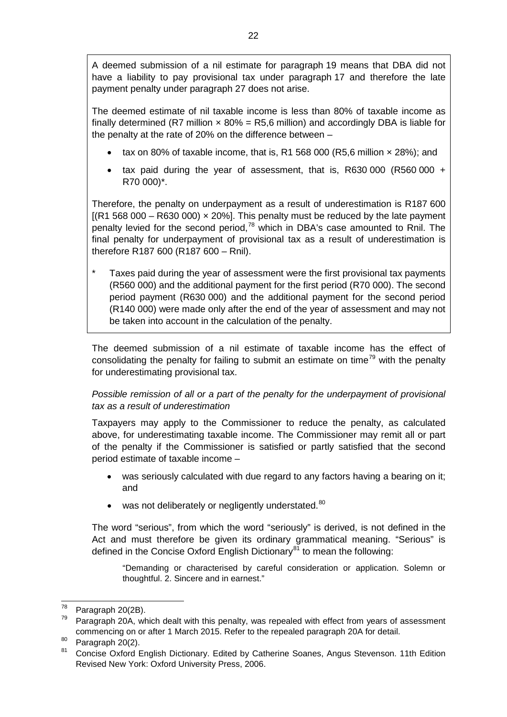A deemed submission of a nil estimate for paragraph 19 means that DBA did not have a liability to pay provisional tax under paragraph 17 and therefore the late payment penalty under paragraph 27 does not arise.

The deemed estimate of nil taxable income is less than 80% of taxable income as finally determined (R7 million  $\times$  80% = R5,6 million) and accordingly DBA is liable for the penalty at the rate of 20% on the difference between –

- tax on 80% of taxable income, that is, R1 568 000 (R5,6 million  $\times$  28%); and
- tax paid during the year of assessment, that is, R630 000 (R560 000 + R70 000)\*.

Therefore, the penalty on underpayment as a result of underestimation is R187 600  $[(R1 568 000 - R630 000) \times 20\%]$ . This penalty must be reduced by the late payment penalty levied for the second period,<sup>[78](#page-21-0)</sup> which in DBA's case amounted to Rnil. The final penalty for underpayment of provisional tax as a result of underestimation is therefore R187 600 (R187 600 – Rnil).

Taxes paid during the year of assessment were the first provisional tax payments (R560 000) and the additional payment for the first period (R70 000). The second period payment (R630 000) and the additional payment for the second period (R140 000) were made only after the end of the year of assessment and may not be taken into account in the calculation of the penalty.

The deemed submission of a nil estimate of taxable income has the effect of consolidating the penalty for failing to submit an estimate on time<sup>[79](#page-21-1)</sup> with the penalty for underestimating provisional tax.

# *Possible remission of all or a part of the penalty for the underpayment of provisional tax as a result of underestimation*

Taxpayers may apply to the Commissioner to reduce the penalty, as calculated above, for underestimating taxable income. The Commissioner may remit all or part of the penalty if the Commissioner is satisfied or partly satisfied that the second period estimate of taxable income –

- was seriously calculated with due regard to any factors having a bearing on it; and
- was not deliberately or negligently understated.<sup>[80](#page-21-2)</sup>

The word "serious", from which the word "seriously" is derived, is not defined in the Act and must therefore be given its ordinary grammatical meaning. "Serious" is defined in the Concise Oxford English Dictionary<sup>[81](#page-21-3)</sup> to mean the following:

"Demanding or characterised by careful consideration or application. Solemn or thoughtful. 2. Sincere and in earnest."

<span id="page-21-0"></span> $78$  Paragraph 20(2B).

<span id="page-21-1"></span> $79$  Paragraph 20A, which dealt with this penalty, was repealed with effect from years of assessment commencing on or after 1 March 2015. Refer to the repealed paragraph 20A for detail.

<span id="page-21-2"></span> $\frac{80}{81}$  Paragraph 20(2).

<span id="page-21-3"></span><sup>81</sup> Concise Oxford English Dictionary. Edited by Catherine Soanes, Angus Stevenson. 11th Edition Revised New York: Oxford University Press, 2006.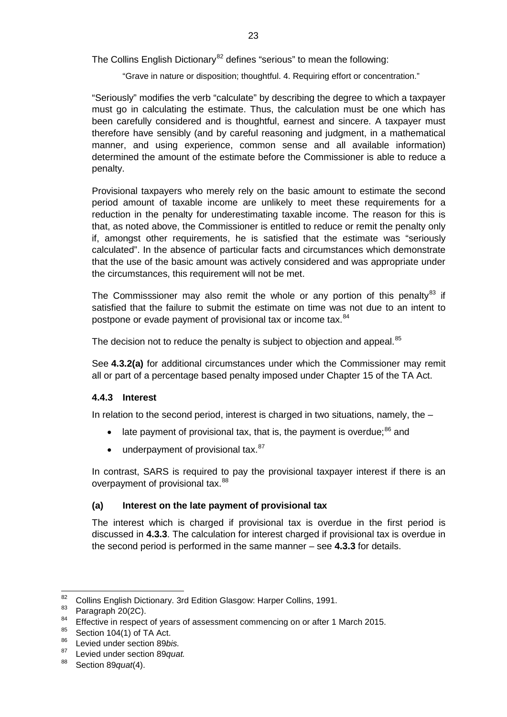The Collins English Dictionary<sup>[82](#page-22-2)</sup> defines "serious" to mean the following:

"Grave in nature or disposition; thoughtful. 4. Requiring effort or concentration."

"Seriously" modifies the verb "calculate" by describing the degree to which a taxpayer must go in calculating the estimate. Thus, the calculation must be one which has been carefully considered and is thoughtful, earnest and sincere. A taxpayer must therefore have sensibly (and by careful reasoning and judgment, in a mathematical manner, and using experience, common sense and all available information) determined the amount of the estimate before the Commissioner is able to reduce a penalty.

Provisional taxpayers who merely rely on the basic amount to estimate the second period amount of taxable income are unlikely to meet these requirements for a reduction in the penalty for underestimating taxable income. The reason for this is that, as noted above, the Commissioner is entitled to reduce or remit the penalty only if, amongst other requirements, he is satisfied that the estimate was "seriously calculated". In the absence of particular facts and circumstances which demonstrate that the use of the basic amount was actively considered and was appropriate under the circumstances, this requirement will not be met.

The Commisssioner may also remit the whole or any portion of this penalty<sup>[83](#page-22-3)</sup> if satisfied that the failure to submit the estimate on time was not due to an intent to postpone or evade payment of provisional tax or income tax.<sup>[84](#page-22-4)</sup>

The decision not to reduce the penalty is subject to objection and appeal.<sup>[85](#page-22-5)</sup>

See **[4.3.2\(a\)](#page-14-1)** for additional circumstances under which the Commissioner may remit all or part of a percentage based penalty imposed under Chapter 15 of the TA Act.

# <span id="page-22-0"></span>**4.4.3 Interest**

In relation to the second period, interest is charged in two situations, namely, the  $-$ 

- late payment of provisional tax, that is, the payment is overdue:<sup>[86](#page-22-6)</sup> and
- $\bullet$  underpayment of provisional tax.  $87$

In contrast, SARS is required to pay the provisional taxpayer interest if there is an overpayment of provisional tax.<sup>[88](#page-22-8)</sup>

# <span id="page-22-1"></span>**(a) Interest on the late payment of provisional tax**

The interest which is charged if provisional tax is overdue in the first period is discussed in **[4.3.3](#page-15-0)**. The calculation for interest charged if provisional tax is overdue in the second period is performed in the same manner – see **[4.3.3](#page-15-0)** for details.

<span id="page-22-2"></span><sup>82</sup> Collins English Dictionary. 3rd Edition Glasgow: Harper Collins, 1991.

<span id="page-22-3"></span> $^{83}$  Paragraph 20(2C).

<span id="page-22-4"></span><sup>&</sup>lt;sup>84</sup> Effective in respect of years of assessment commencing on or after 1 March 2015.

<span id="page-22-5"></span> $\frac{85}{86}$  Section 104(1) of TA Act.

<span id="page-22-6"></span><sup>86</sup> Levied under section 89*bis.*

<span id="page-22-7"></span><sup>&</sup>lt;sup>87</sup> Levied under section 89*quat.*<br><sup>88</sup> Section 89*guat* (4)

<span id="page-22-8"></span>Section 89*quat*(4).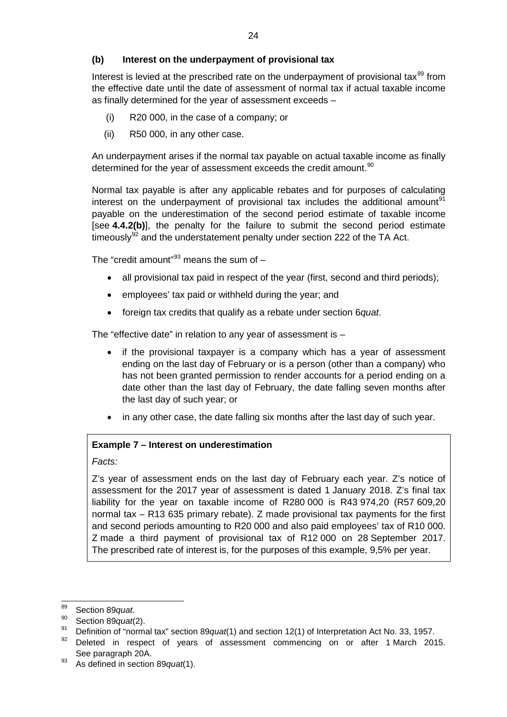# <span id="page-23-0"></span>**(b) Interest on the underpayment of provisional tax**

Interest is levied at the prescribed rate on the underpayment of provisional tax $^{89}$  $^{89}$  $^{89}$  from the effective date until the date of assessment of normal tax if actual taxable income as finally determined for the year of assessment exceeds –

- (i) R20 000, in the case of a company; or
- (ii) R50 000, in any other case.

An underpayment arises if the normal tax payable on actual taxable income as finally determined for the year of assessment exceeds the credit amount.  $90$ 

Normal tax payable is after any applicable rebates and for purposes of calculating interest on the underpayment of provisional tax includes the additional amount<sup>[91](#page-23-3)</sup> payable on the underestimation of the second period estimate of taxable income [see **[4.4.2\(b\)](#page-17-1)**], the penalty for the failure to submit the second period estimate timeously $92$  and the understatement penalty under section 222 of the TA Act.

The "credit amount" $93$  means the sum of  $-$ 

- all provisional tax paid in respect of the year (first, second and third periods);
- employees' tax paid or withheld during the year; and
- foreign tax credits that qualify as a rebate under section 6*quat*.

The "effective date" in relation to any year of assessment is –

- if the provisional taxpayer is a company which has a year of assessment ending on the last day of February or is a person (other than a company) who has not been granted permission to render accounts for a period ending on a date other than the last day of February, the date falling seven months after the last day of such year; or
- in any other case, the date falling six months after the last day of such year.

## **Example 7 – Interest on underestimation**

## *Facts:*

Z's year of assessment ends on the last day of February each year. Z's notice of assessment for the 2017 year of assessment is dated 1 January 2018. Z's final tax liability for the year on taxable income of R280 000 is R43 974,20 (R57 609,20 normal tax – R13 635 primary rebate). Z made provisional tax payments for the first and second periods amounting to R20 000 and also paid employees' tax of R10 000. Z made a third payment of provisional tax of R12 000 on 28 September 2017. The prescribed rate of interest is, for the purposes of this example, 9,5% per year.

<span id="page-23-1"></span><sup>&</sup>lt;sup>89</sup> Section 89*quat.* 

<span id="page-23-2"></span><sup>90</sup> Section 89*quat*(2).

<span id="page-23-4"></span><span id="page-23-3"></span><sup>91</sup> Definition of "normal tax" section 89*quat*(1) and section 12(1) of Interpretation Act No. 33, 1957.

Deleted in respect of years of assessment commencing on or after 1 March 2015. See paragraph 20A.

<span id="page-23-5"></span><sup>93</sup> As defined in section 89*quat*(1).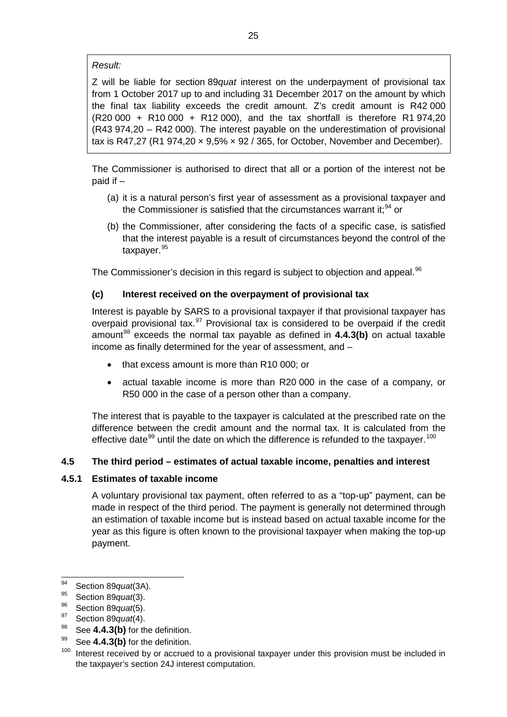# *Result:*

Z will be liable for section 89*quat* interest on the underpayment of provisional tax from 1 October 2017 up to and including 31 December 2017 on the amount by which the final tax liability exceeds the credit amount. Z's credit amount is R42 000 (R20 000 + R10 000 + R12 000), and the tax shortfall is therefore R1 974,20 (R43 974,20 – R42 000). The interest payable on the underestimation of provisional tax is R47,27 (R1 974,20  $\times$  9,5%  $\times$  92 / 365, for October, November and December).

The Commissioner is authorised to direct that all or a portion of the interest not be paid if –

- (a) it is a natural person's first year of assessment as a provisional taxpayer and the Commissioner is satisfied that the circumstances warrant it;  $94$  or
- (b) the Commissioner, after considering the facts of a specific case, is satisfied that the interest payable is a result of circumstances beyond the control of the taxpayer. [95](#page-24-4)

The Commissioner's decision in this regard is subject to objection and appeal.<sup>[96](#page-24-5)</sup>

# <span id="page-24-0"></span>**(c) Interest received on the overpayment of provisional tax**

Interest is payable by SARS to a provisional taxpayer if that provisional taxpayer has overpaid provisional tax.  $97$  Provisional tax is considered to be overpaid if the credit amount<sup>[98](#page-24-7)</sup> exceeds the normal tax payable as defined in **[4.4.3\(b\)](#page-23-0)** on actual taxable income as finally determined for the year of assessment, and –

- that excess amount is more than R10 000; or
- actual taxable income is more than R20 000 in the case of a company, or R50 000 in the case of a person other than a company.

The interest that is payable to the taxpayer is calculated at the prescribed rate on the difference between the credit amount and the normal tax. It is calculated from the effective date<sup>[99](#page-24-8)</sup> until the date on which the difference is refunded to the taxpayer.<sup>[100](#page-24-9)</sup>

# <span id="page-24-1"></span>**4.5 The third period – estimates of actual taxable income, penalties and interest**

## <span id="page-24-2"></span>**4.5.1 Estimates of taxable income**

A voluntary provisional tax payment, often referred to as a "top-up" payment, can be made in respect of the third period. The payment is generally not determined through an estimation of taxable income but is instead based on actual taxable income for the year as this figure is often known to the provisional taxpayer when making the top-up payment.

<span id="page-24-3"></span> <sup>94</sup> Section <sup>89</sup>*quat*(3A).

<span id="page-24-4"></span><sup>95</sup> Section 89*quat*(3).

<span id="page-24-5"></span><sup>96</sup> Section 89*quat*(5).

<span id="page-24-6"></span><sup>&</sup>lt;sup>97</sup> Section 89*quat*(4).

<span id="page-24-7"></span><sup>&</sup>lt;sup>98</sup> See **[4.4.3\(b\)](#page-23-0)** for the definition.

<span id="page-24-9"></span><span id="page-24-8"></span> $^{99}$  See **[4.4.3\(b\)](#page-23-0)** for the definition.

Interest received by or accrued to a provisional taxpayer under this provision must be included in the taxpayer's section 24J interest computation.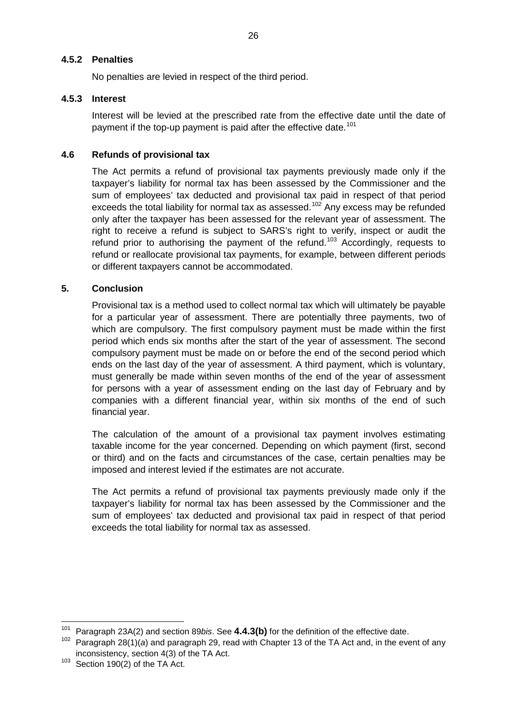# <span id="page-25-0"></span>**4.5.2 Penalties**

No penalties are levied in respect of the third period.

# <span id="page-25-1"></span>**4.5.3 Interest**

Interest will be levied at the prescribed rate from the effective date until the date of payment if the top-up payment is paid after the effective date.<sup>[101](#page-25-4)</sup>

# <span id="page-25-2"></span>**4.6 Refunds of provisional tax**

The Act permits a refund of provisional tax payments previously made only if the taxpayer's liability for normal tax has been assessed by the Commissioner and the sum of employees' tax deducted and provisional tax paid in respect of that period exceeds the total liability for normal tax as assessed.<sup>[102](#page-25-5)</sup> Any excess may be refunded only after the taxpayer has been assessed for the relevant year of assessment. The right to receive a refund is subject to SARS's right to verify, inspect or audit the refund prior to authorising the payment of the refund.<sup>[103](#page-25-6)</sup> Accordingly, requests to refund or reallocate provisional tax payments, for example, between different periods or different taxpayers cannot be accommodated.

## <span id="page-25-3"></span>**5. Conclusion**

Provisional tax is a method used to collect normal tax which will ultimately be payable for a particular year of assessment. There are potentially three payments, two of which are compulsory. The first compulsory payment must be made within the first period which ends six months after the start of the year of assessment. The second compulsory payment must be made on or before the end of the second period which ends on the last day of the year of assessment. A third payment, which is voluntary, must generally be made within seven months of the end of the year of assessment for persons with a year of assessment ending on the last day of February and by companies with a different financial year, within six months of the end of such financial year.

The calculation of the amount of a provisional tax payment involves estimating taxable income for the year concerned. Depending on which payment (first, second or third) and on the facts and circumstances of the case, certain penalties may be imposed and interest levied if the estimates are not accurate.

The Act permits a refund of provisional tax payments previously made only if the taxpayer's liability for normal tax has been assessed by the Commissioner and the sum of employees' tax deducted and provisional tax paid in respect of that period exceeds the total liability for normal tax as assessed.

<span id="page-25-4"></span><sup>&</sup>lt;sup>101</sup> Paragraph 23A(2) and section 89*bis*. See **4.4.3(b)** for the definition of the effective date.<br><sup>102</sup> Perseraph 28/1)(a) and perseraph 29, read with Chapter 13 of the TA Act and in the eve

<span id="page-25-5"></span>Paragraph 28(1)(*a*) and paragraph 29, read with Chapter 13 of the TA Act and, in the event of any inconsistency, section 4(3) of the TA Act.

<span id="page-25-6"></span> $103$  Section 190(2) of the TA Act.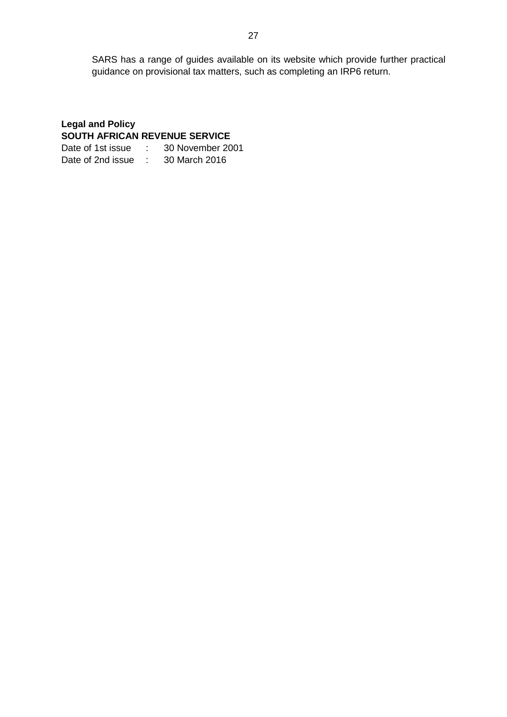SARS has a range of guides available on its website which provide further practical guidance on provisional tax matters, such as completing an IRP6 return.

# **Legal and Policy SOUTH AFRICAN REVENUE SERVICE**<br>Date of 1st issue : 30 November 2001

Date of 1st issue : Date of 2nd issue : 30 March 2016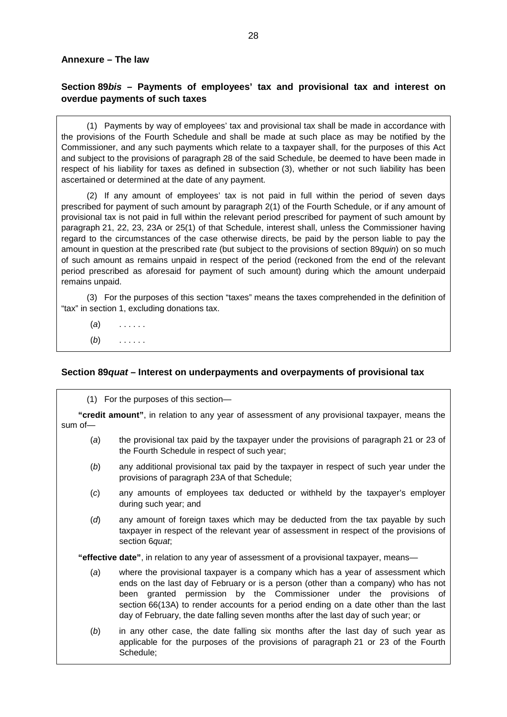#### <span id="page-27-0"></span>**Annexure – The law**

# **Section 89***bis* **– Payments of employees' tax and provisional tax and interest on overdue payments of such taxes**

(1) Payments by way of employees' tax and provisional tax shall be made in accordance with the provisions of the [Fourth Schedule](http://www.mylexisnexis.co.za/nxt/gateway.dll/jilc/kilc/alrg/ulrg/vlrg/l8k0a#68r) and shall be made at such place as may be notified by the Commissioner, and any such payments which relate to a taxpayer shall, for the purposes of this Act and subject to the provisions of paragraph 28 of the said Schedule, be deemed to have been made in respect of his liability for taxes as defined in subsection (3), whether or not such liability has been ascertained or determined at the date of any payment.

(2) If any amount of employees' tax is not paid in full within the period of seven days prescribed for payment of such amount by paragraph 2(1) of the [Fourth Schedule,](http://www.mylexisnexis.co.za/nxt/gateway.dll/jilc/kilc/alrg/ulrg/vlrg/l8k0a#68r) or if any amount of provisional tax is not paid in full within the relevant period prescribed for payment of such amount by paragraph 21, 22, 23, 23A or 25(1) of that Schedule, interest shall, unless the Commissioner having regard to the circumstances of the case otherwise directs, be paid by the person liable to pay the amount in question at the prescribed rate (but subject to the provisions of [section](http://www.mylexisnexis.co.za/nxt/gateway.dll/jilc/kilc/alrg/ulrg/vlrg/l7k0a#5x7) 89*quin*) on so much of such amount as remains unpaid in respect of the period (reckoned from the end of the relevant period prescribed as aforesaid for payment of such amount) during which the amount underpaid remains unpaid.

(3) For the purposes of this section "taxes" means the taxes comprehended in the definition of ["tax"](http://www.mylexisnexis.co.za/nxt/gateway.dll/jilc/kilc/alrg/ulrg/vlrg/1zk0a#24n) in [section](http://www.mylexisnexis.co.za/nxt/gateway.dll/jilc/kilc/alrg/ulrg/vlrg/1zk0a#1vf) 1, excluding donations tax.

(*a*) . . . . . . (*b*) . . . . . .

#### **Section 89***quat* **– Interest on underpayments and overpayments of provisional tax**

(1) For the purposes of this section—

**"credit amount"**, in relation to any year of assessment of any provisional taxpayer, means the sum of—

- (*a*) the provisional tax paid by the taxpayer under the provisions of paragraph 21 or 23 of the [Fourth Schedule](http://www.mylexisnexis.co.za/nxt/gateway.dll/jilc/kilc/alrg/ulrg/vlrg/l8k0a#68r) in respect of such year;
- (*b*) any additional provisional tax paid by the taxpayer in respect of such year under the provisions of paragraph 23A of that Schedule;
- (*c*) any amounts of employees tax deducted or withheld by the taxpayer's employer during such year; and
- (*d*) any amount of foreign taxes which may be deducted from the tax payable by such taxpayer in respect of the relevant year of assessment in respect of the provisions of section 6*quat*;

**"effective date"**, in relation to any year of assessment of a provisional taxpayer, means—

- (*a*) where the provisional taxpayer is a company which has a year of assessment which ends on the last day of February or is a person (other than a company) who has not been granted permission by the Commissioner under the provisions of section 66(13A) to render accounts for a period ending on a date other than the last day of February, the date falling seven months after the last day of such year; or
- (*b*) in any other case, the date falling six months after the last day of such year as applicable for the purposes of the provisions of paragraph 21 or 23 of the [Fourth](http://www.mylexisnexis.co.za/nxt/gateway.dll/jilc/kilc/alrg/ulrg/vlrg/l8k0a#68r)  [Schedule;](http://www.mylexisnexis.co.za/nxt/gateway.dll/jilc/kilc/alrg/ulrg/vlrg/l8k0a#68r)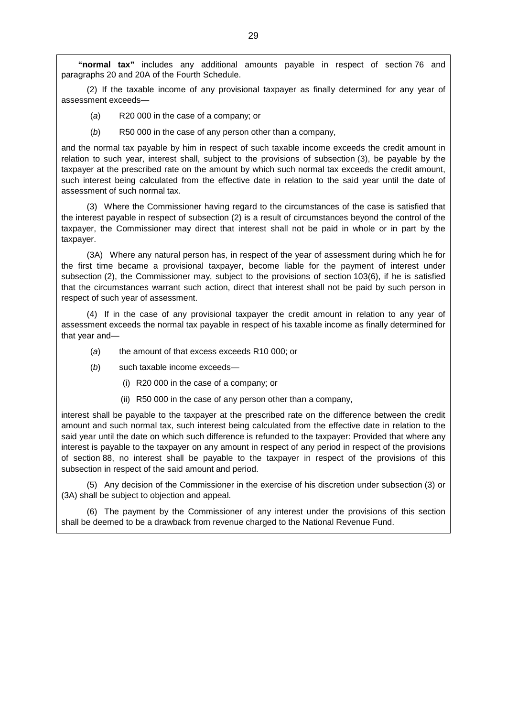**"normal tax"** includes any additional amounts payable in respect of section 76 and paragraphs 20 and 20A of the [Fourth Schedule.](http://www.mylexisnexis.co.za/nxt/gateway.dll/jilc/kilc/alrg/ulrg/vlrg/l8k0a#68r)

(2) If the taxable income of any provisional taxpayer as finally determined for any year of assessment exceeds—

- (*a*) R20 000 in the case of a company; or
- (*b*) R50 000 in the case of any person other than a company,

and the normal tax payable by him in respect of such taxable income exceeds the credit amount in relation to such year, interest shall, subject to the provisions of subsection (3), be payable by the taxpayer at the prescribed rate on the amount by which such normal tax exceeds the credit amount, such interest being calculated from the effective date in relation to the said year until the date of assessment of such normal tax.

(3) Where the Commissioner having regard to the circumstances of the case is satisfied that the interest payable in respect of subsection (2) is a result of circumstances beyond the control of the taxpayer, the Commissioner may direct that interest shall not be paid in whole or in part by the taxpayer.

(3A) Where any natural person has, in respect of the year of assessment during which he for the first time became a provisional taxpayer, become liable for the payment of interest under subsection (2), the Commissioner may, subject to the provisions of section 103(6), if he is satisfied that the circumstances warrant such action, direct that interest shall not be paid by such person in respect of such year of assessment.

(4) If in the case of any provisional taxpayer the credit amount in relation to any year of assessment exceeds the normal tax payable in respect of his taxable income as finally determined for that year and—

- (*a*) the amount of that excess exceeds R10 000; or
- (b) such taxable income exceeds-
	- (i) R20 000 in the case of a company; or
	- (ii) R50 000 in the case of any person other than a company,

interest shall be payable to the taxpayer at the prescribed rate on the difference between the credit amount and such normal tax, such interest being calculated from the effective date in relation to the said year until the date on which such difference is refunded to the taxpayer: Provided that where any interest is payable to the taxpayer on any amount in respect of any period in respect of the provisions of section 88, no interest shall be payable to the taxpayer in respect of the provisions of this subsection in respect of the said amount and period.

(5) Any decision of the Commissioner in the exercise of his discretion under subsection (3) or (3A) shall be subject to objection and appeal.

(6) The payment by the Commissioner of any interest under the provisions of this section shall be deemed to be a drawback from revenue charged to the National Revenue Fund.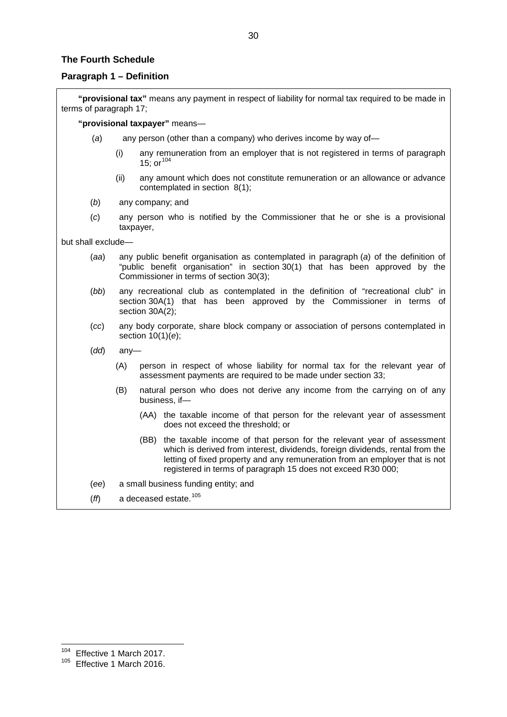#### **The Fourth Schedule**

#### **Paragraph 1 – Definition**

**"provisional tax"** means any payment in respect of liability for normal tax required to be made in terms of paragraph 17;

**"provisional taxpayer"** means—

- (*a*) any person (other than a company) who derives income by way of—
	- (i) any remuneration from an employer that is not registered in terms of paragraph 15; or  $104$
	- (ii) any amount which does not constitute remuneration or an allowance or advance contemplated in section 8(1);
- (*b*) any company; and
- (*c*) any person who is notified by the Commissioner that he or she is a provisional taxpayer,

but shall exclude—

- (*aa*) any public benefit organisation as contemplated in paragraph (*a*) of the definition of "public benefit organisation" in section 30(1) that has been approved by the Commissioner in terms of section 30(3);
- (*bb*) any recreational club as contemplated in the definition of "recreational club" in section 30A(1) that has been approved by the Commissioner in terms of section 30A(2);
- (*cc*) any body corporate, share block company or association of persons contemplated in section 10(1)(*e*);
- (*dd*) any—
	- (A) person in respect of whose liability for normal tax for the relevant year of assessment payments are required to be made under section 33;
	- (B) natural person who does not derive any income from the carrying on of any business, if—
		- (AA) the taxable income of that person for the relevant year of assessment does not exceed the threshold; or
		- (BB) the taxable income of that person for the relevant year of assessment which is derived from interest, dividends, foreign dividends, rental from the letting of fixed property and any remuneration from an employer that is not registered in terms of paragraph 15 does not exceed R30 000;
- (*ee*) a small business funding entity; and
- (*ff*) a deceased estate. [105](#page-29-1)

<span id="page-29-1"></span><span id="page-29-0"></span> $^{104}$  Effective 1 March 2017.

Effective 1 March 2016.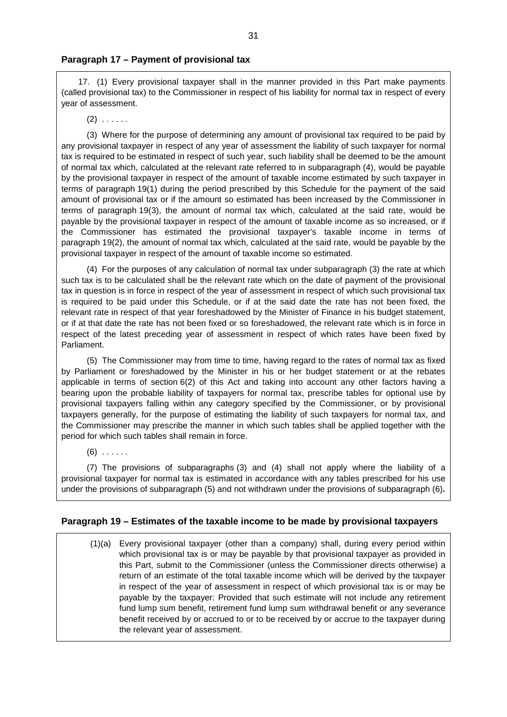#### **Paragraph 17 – Payment of provisional tax**

17. (1) Every provisional taxpayer shall in the manner provided in this Part make payments (called provisional tax) to the Commissioner in respect of his liability for normal tax in respect of every year of assessment.

 $(2)$  . . . . . .

(3) Where for the purpose of determining any amount of provisional tax required to be paid by any provisional taxpayer in respect of any year of assessment the liability of such taxpayer for normal tax is required to be estimated in respect of such year, such liability shall be deemed to be the amount of normal tax which, calculated at the relevant rate referred to in subparagraph (4), would be payable by the provisional taxpayer in respect of the amount of taxable income estimated by such taxpayer in terms of paragraph 19(1) during the period prescribed by this Schedule for the payment of the said amount of provisional tax or if the amount so estimated has been increased by the Commissioner in terms of paragraph 19(3), the amount of normal tax which, calculated at the said rate, would be payable by the provisional taxpayer in respect of the amount of taxable income as so increased, or if the Commissioner has estimated the provisional taxpayer's taxable income in terms of paragraph 19(2), the amount of normal tax which, calculated at the said rate, would be payable by the provisional taxpayer in respect of the amount of taxable income so estimated.

(4) For the purposes of any calculation of normal tax under subparagraph (3) the rate at which such tax is to be calculated shall be the relevant rate which on the date of payment of the provisional tax in question is in force in respect of the year of assessment in respect of which such provisional tax is required to be paid under this Schedule, or if at the said date the rate has not been fixed, the relevant rate in respect of that year foreshadowed by the Minister of Finance in his budget statement, or if at that date the rate has not been fixed or so foreshadowed, the relevant rate which is in force in respect of the latest preceding year of assessment in respect of which rates have been fixed by Parliament.

(5) The Commissioner may from time to time, having regard to the rates of normal tax as fixed by Parliament or foreshadowed by the Minister in his or her budget statement or at the rebates applicable in terms of section 6(2) of this Act and taking into account any other factors having a bearing upon the probable liability of taxpayers for normal tax, prescribe tables for optional use by provisional taxpayers falling within any category specified by the Commissioner, or by provisional taxpayers generally, for the purpose of estimating the liability of such taxpayers for normal tax, and the Commissioner may prescribe the manner in which such tables shall be applied together with the period for which such tables shall remain in force.

 $(6)$  . . . . . .

(7) The provisions of subparagraphs (3) and (4) shall not apply where the liability of a provisional taxpayer for normal tax is estimated in accordance with any tables prescribed for his use under the provisions of subparagraph (5) and not withdrawn under the provisions of subparagraph (6)**.**

## **Paragraph 19 – Estimates of the taxable income to be made by provisional taxpayers**

(1)(a) Every provisional taxpayer (other than a company) shall, during every period within which provisional tax is or may be payable by that provisional taxpayer as provided in this Part, submit to the Commissioner (unless the Commissioner directs otherwise) a return of an estimate of the total taxable income which will be derived by the taxpayer in respect of the year of assessment in respect of which provisional tax is or may be payable by the taxpayer: Provided that such estimate will not include any retirement fund lump sum benefit, retirement fund lump sum withdrawal benefit or any severance benefit received by or accrued to or to be received by or accrue to the taxpayer during the relevant year of assessment.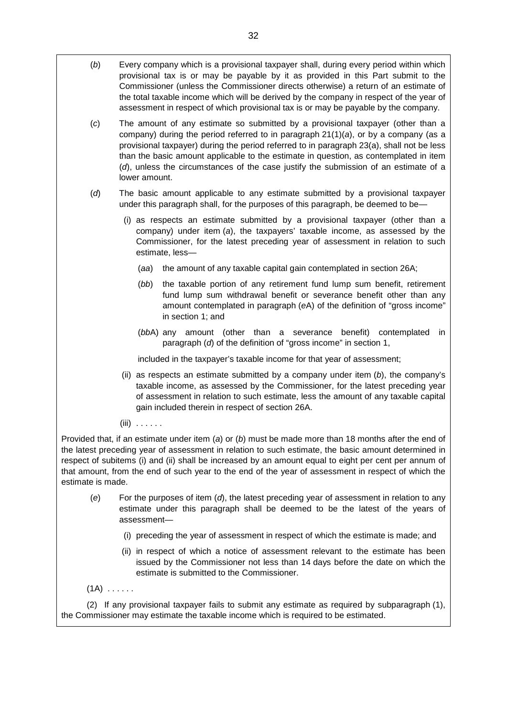- (*b*) Every company which is a provisional taxpayer shall, during every period within which provisional tax is or may be payable by it as provided in this Part submit to the Commissioner (unless the Commissioner directs otherwise) a return of an estimate of the total taxable income which will be derived by the company in respect of the year of assessment in respect of which provisional tax is or may be payable by the company.
- (*c*) The amount of any estimate so submitted by a provisional taxpayer (other than a company) during the period referred to in paragraph 21(1)(*a*), or by a company (as a provisional taxpayer) during the period referred to in paragraph 23(a), shall not be less than the basic amount applicable to the estimate in question, as contemplated in item (*d*), unless the circumstances of the case justify the submission of an estimate of a lower amount.
- (*d*) The basic amount applicable to any estimate submitted by a provisional taxpayer under this paragraph shall, for the purposes of this paragraph, be deemed to be—
	- (i) as respects an estimate submitted by a provisional taxpayer (other than a company) under [item](http://10.16.18.9/nxt/gateway.dll/jilc/kilc/alrg/ulrg/vlrg/d9d3a#7sa#7sa) (*a*), the taxpayers' taxable income, as assessed by the Commissioner, for the latest preceding year of assessment in relation to such estimate, less—
		- (*aa*) the amount of any taxable capital gain contemplated in [section](http://10.16.18.9/nxt/gateway.dll/jilc/kilc/alrg/ulrg/vlrg/02k0a#46k) 26A;
		- (*bb*) the taxable portion of any retirement fund lump sum benefit, retirement fund lump sum withdrawal benefit or severance benefit other than any amount contemplated in paragraph (*e*A) of the definition of "gross income" in section 1; and
		- (*bb*A) any amount (other than a severance benefit) contemplated in paragraph (*d*) of the definition of "gross income" in section 1,

included in the taxpayer's taxable income for that year of assessment;

- (ii) as respects an estimate submitted by a company under [item](http://10.16.18.9/nxt/gateway.dll/jilc/kilc/alrg/ulrg/vlrg/d9d3a#7sb#7sb) (*b*), the company's taxable income, as assessed by the Commissioner, for the latest preceding year of assessment in relation to such estimate, less the amount of any taxable capital gain included therein in respect of [section](http://10.16.18.9/nxt/gateway.dll/jilc/kilc/alrg/ulrg/vlrg/02k0a#46k) 26A.
- (iii) . . . . . .

Provided that, if an estimate under item (*a*) or (*b*) must be made more than 18 months after the end of the latest preceding year of assessment in relation to such estimate, the basic amount determined in respect of subitems (i) and (ii) shall be increased by an amount equal to eight per cent per annum of that amount, from the end of such year to the end of the year of assessment in respect of which the estimate is made.

- (*e*) For the purposes of [item \(](http://10.16.18.9/nxt/gateway.dll/jilc/kilc/alrg/ulrg/vlrg/d9d3a#7sd#7sd)*d*), the latest preceding year of assessment in relation to any estimate under this paragraph shall be deemed to be the latest of the years of assessment—
	- (i) preceding the year of assessment in respect of which the estimate is made; and
	- (ii) in respect of which a notice of assessment relevant to the estimate has been issued by the Commissioner not less than 14 days before the date on which the estimate is submitted to the Commissioner.
- $(1A)$  . . . . . .

(2) If any provisional taxpayer fails to submit any estimate as required by subparagraph (1), the Commissioner may estimate the taxable income which is required to be estimated.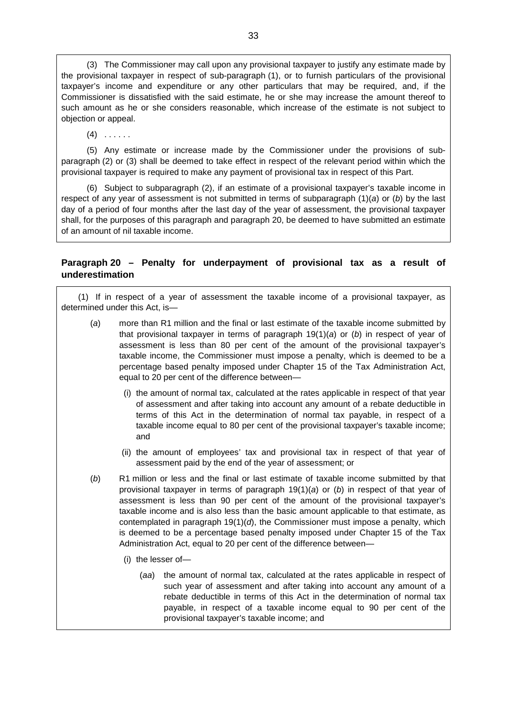(3) The Commissioner may call upon any provisional taxpayer to justify any estimate made by the provisional taxpayer in respect of [sub-paragraph](http://10.16.18.9/nxt/gateway.dll/jilc/kilc/alrg/ulrg/vlrg/d9d3a#7s9#7s9) (1), or to furnish particulars of the provisional taxpayer's income and expenditure or any other particulars that may be required, and, if the Commissioner is dissatisfied with the said estimate, he or she may increase the amount thereof to such amount as he or she considers reasonable, which increase of the estimate is not subject to objection or appeal.

 $(4)$  . . . . . .

(5) Any estimate or increase made by the Commissioner under the provisions of [sub](http://10.16.18.9/nxt/gateway.dll/jilc/kilc/alrg/ulrg/vlrg/d9d3a#7sl#7sl)[paragraph](http://10.16.18.9/nxt/gateway.dll/jilc/kilc/alrg/ulrg/vlrg/d9d3a#7sl#7sl) (2) or [\(3\)](http://10.16.18.9/nxt/gateway.dll/jilc/kilc/alrg/ulrg/vlrg/d9d3a#7sm#7sm) shall be deemed to take effect in respect of the relevant period within which the provisional taxpayer is required to make any payment of provisional tax in respect of this Part.

(6) Subject to subparagraph (2), if an estimate of a provisional taxpayer's taxable income in respect of any year of assessment is not submitted in terms of subparagraph (1)(*a*) or (*b*) by the last day of a period of four months after the last day of the year of assessment, the provisional taxpayer shall, for the purposes of this paragraph and paragraph 20, be deemed to have submitted an estimate of an amount of nil taxable income.

# **Paragraph 20 – Penalty for underpayment of provisional tax as a result of underestimation**

(1) If in respect of a year of assessment the taxable income of a provisional taxpayer, as determined under this Act, is—

- (*a*) more than R1 million and the final or last estimate of the taxable income submitted by that provisional taxpayer in terms of paragraph 19(1)(*a*) or (*b*) in respect of year of assessment is less than 80 per cent of the amount of the provisional taxpayer's taxable income, the Commissioner must impose a penalty, which is deemed to be a percentage based penalty imposed under Chapter 15 of the Tax Administration Act, equal to 20 per cent of the difference between—
	- (i) the amount of normal tax, calculated at the rates applicable in respect of that year of assessment and after taking into account any amount of a rebate deductible in terms of this Act in the determination of normal tax payable, in respect of a taxable income equal to 80 per cent of the provisional taxpayer's taxable income; and
	- (ii) the amount of employees' tax and provisional tax in respect of that year of assessment paid by the end of the year of assessment; or
- (*b*) R1 million or less and the final or last estimate of taxable income submitted by that provisional taxpayer in terms of paragraph 19(1)(*a*) or (*b*) in respect of that year of assessment is less than 90 per cent of the amount of the provisional taxpayer's taxable income and is also less than the basic amount applicable to that estimate, as contemplated in paragraph  $19(1)(d)$ , the Commissioner must impose a penalty, which is deemed to be a percentage based penalty imposed under Chapter 15 of the Tax Administration Act, equal to 20 per cent of the difference between—
	- (i) the lesser of—
		- (*aa*) the amount of normal tax, calculated at the rates applicable in respect of such year of assessment and after taking into account any amount of a rebate deductible in terms of this Act in the determination of normal tax payable, in respect of a taxable income equal to 90 per cent of the provisional taxpayer's taxable income; and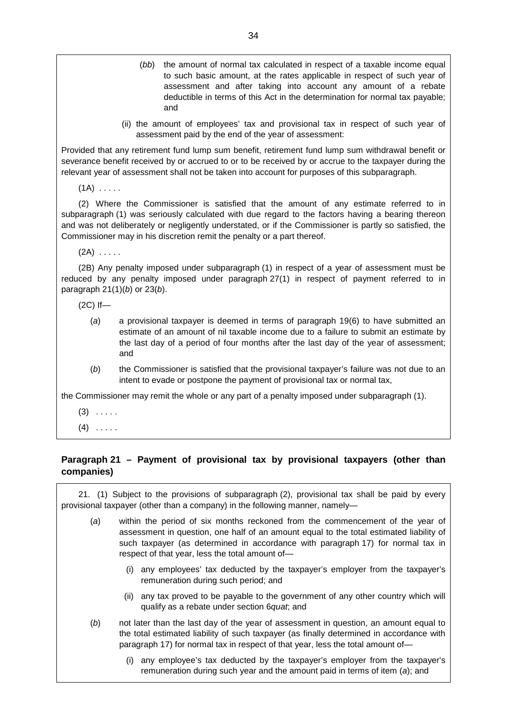- (*bb*) the amount of normal tax calculated in respect of a taxable income equal to such basic amount, at the rates applicable in respect of such year of assessment and after taking into account any amount of a rebate deductible in terms of this Act in the determination for normal tax payable; and
- (ii) the amount of employees' tax and provisional tax in respect of such year of assessment paid by the end of the year of assessment:

Provided that any retirement fund lump sum benefit, retirement fund lump sum withdrawal benefit or severance benefit received by or accrued to or to be received by or accrue to the taxpayer during the relevant year of assessment shall not be taken into account for purposes of this subparagraph.

 $(1A)$  . . . . .

(2) Where the Commissioner is satisfied that the amount of any estimate referred to in [subparagraph](http://10.16.18.9/nxt/gateway.dll/jilc/kilc/alrg/ulrg/vlrg/d9d3a#7sq#7sq) (1) was seriously calculated with due regard to the factors having a bearing thereon and was not deliberately or negligently understated, or if the Commissioner is partly so satisfied, the Commissioner may in his discretion remit the penalty or a part thereof.

 $(2A) \ldots$ .

(2B) Any penalty imposed under subparagraph (1) in respect of a year of assessment must be reduced by any penalty imposed under paragraph 27(1) in respect of payment referred to in paragraph 21(1)(*b*) or 23(*b*).

(2C) If—

- (*a*) a provisional taxpayer is deemed in terms of paragraph 19(6) to have submitted an estimate of an amount of nil taxable income due to a failure to submit an estimate by the last day of a period of four months after the last day of the year of assessment; and
- (*b*) the Commissioner is satisfied that the provisional taxpayer's failure was not due to an intent to evade or postpone the payment of provisional tax or normal tax,

the Commissioner may remit the whole or any part of a penalty imposed under subparagraph (1).

 $(3) \ldots$ 

 $(4) \ldots$ 

# **Paragraph 21 – Payment of provisional tax by provisional taxpayers (other than companies)**

21. (1) Subject to the provisions of subparagraph (2), provisional tax shall be paid by every provisional taxpayer (other than a company) in the following manner, namely—

- (*a*) within the period of six months reckoned from the commencement of the year of assessment in question, one half of an amount equal to the total estimated liability of such taxpayer (as determined in accordance with paragraph 17) for normal tax in respect of that year, less the total amount of—
	- (i) any employees' tax deducted by the taxpayer's employer from the taxpayer's remuneration during such period; and
	- (ii) any tax proved to be payable to the government of any other country which will qualify as a rebate under section 6*quat*; and
- (*b*) not later than the last day of the year of assessment in question, an amount equal to the total estimated liability of such taxpayer (as finally determined in accordance with paragraph 17) for normal tax in respect of that year, less the total amount of—
	- (i) any employee's tax deducted by the taxpayer's employer from the taxpayer's remuneration during such year and the amount paid in terms of item (*a*); and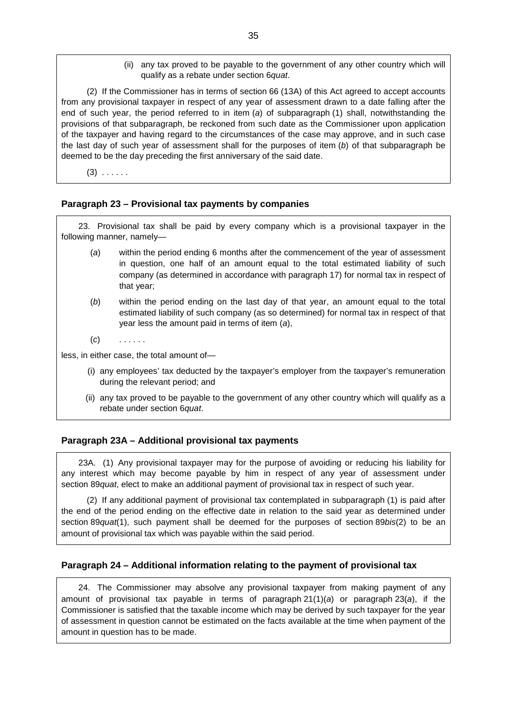(ii) any tax proved to be payable to the government of any other country which will qualify as a rebate under section 6*quat*.

(2) If the Commissioner has in terms of section 66 (13A) of this Act agreed to accept accounts from any provisional taxpayer in respect of any year of assessment drawn to a date falling after the end of such year, the period referred to in item (*a*) of subparagraph (1) shall, notwithstanding the provisions of that subparagraph, be reckoned from such date as the Commissioner upon application of the taxpayer and having regard to the circumstances of the case may approve, and in such case the last day of such year of assessment shall for the purposes of item (*b*) of that subparagraph be deemed to be the day preceding the first anniversary of the said date.

 $(3)$  . . . . . .

## **Paragraph 23 – Provisional tax payments by companies**

23. Provisional tax shall be paid by every company which is a provisional taxpayer in the following manner, namely—

- (*a*) within the period ending 6 months after the commencement of the year of assessment in question, one half of an amount equal to the total estimated liability of such company (as determined in accordance with paragraph 17) for normal tax in respect of that year;
- (*b*) within the period ending on the last day of that year, an amount equal to the total estimated liability of such company (as so determined) for normal tax in respect of that year less the amount paid in terms of item (*a*),
- (*c*) . . . . . .

less, in either case, the total amount of—

- (i) any employees' tax deducted by the taxpayer's employer from the taxpayer's remuneration during the relevant period; and
- (ii) any tax proved to be payable to the government of any other country which will qualify as a rebate under section 6*quat*.

#### **Paragraph 23A – Additional provisional tax payments**

23A. (1) Any provisional taxpayer may for the purpose of avoiding or reducing his liability for any interest which may become payable by him in respect of any year of assessment under section 89*quat*, elect to make an additional payment of provisional tax in respect of such year.

(2) If any additional payment of provisional tax contemplated in subparagraph (1) is paid after the end of the period ending on the effective date in relation to the said year as determined under section 89*quat*(1), such payment shall be deemed for the purposes of section 89*bis*(2) to be an amount of provisional tax which was payable within the said period.

## **Paragraph 24 – Additional information relating to the payment of provisional tax**

24. The Commissioner may absolve any provisional taxpayer from making payment of any amount of provisional tax payable in terms of paragraph 21(1)(*a*) or paragraph 23(*a*), if the Commissioner is satisfied that the taxable income which may be derived by such taxpayer for the year of assessment in question cannot be estimated on the facts available at the time when payment of the amount in question has to be made.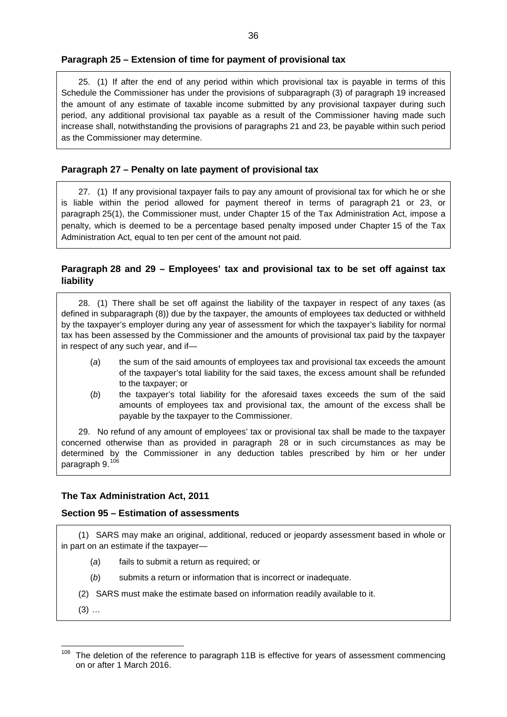#### **Paragraph 25 – Extension of time for payment of provisional tax**

25. (1) If after the end of any period within which provisional tax is payable in terms of this Schedule the Commissioner has under the provisions of subparagraph (3) of paragraph 19 increased the amount of any estimate of taxable income submitted by any provisional taxpayer during such period, any additional provisional tax payable as a result of the Commissioner having made such increase shall, notwithstanding the provisions of paragraphs 21 and 23, be payable within such period as the Commissioner may determine.

## **Paragraph 27 – Penalty on late payment of provisional tax**

27. (1) If any provisional taxpayer fails to pay any amount of provisional tax for which he or she is liable within the period allowed for payment thereof in terms of paragraph 21 or 23, or paragraph 25(1), the Commissioner must, under Chapter 15 of the Tax Administration Act, impose a penalty, which is deemed to be a percentage based penalty imposed under Chapter 15 of the Tax Administration Act, equal to ten per cent of the amount not paid.

#### **Paragraph 28 and 29 – Employees' tax and provisional tax to be set off against tax liability**

28. (1) There shall be set off against the liability of the taxpayer in respect of any taxes (as defined in subparagraph (8)) due by the taxpayer, the amounts of employees tax deducted or withheld by the taxpayer's employer during any year of assessment for which the taxpayer's liability for normal tax has been assessed by the Commissioner and the amounts of provisional tax paid by the taxpayer in respect of any such year, and if—

- (*a*) the sum of the said amounts of employees tax and provisional tax exceeds the amount of the taxpayer's total liability for the said taxes, the excess amount shall be refunded to the taxpayer; or
- (*b*) the taxpayer's total liability for the aforesaid taxes exceeds the sum of the said amounts of employees tax and provisional tax, the amount of the excess shall be payable by the taxpayer to the Commissioner.

29. No refund of any amount of employees' tax or provisional tax shall be made to the taxpayer concerned otherwise than as provided in paragraph 28 or in such circumstances as may be determined by the Commissioner in any deduction tables prescribed by him or her under paragraph 9.<sup>[106](#page-35-0)</sup>

## **The Tax Administration Act, 2011**

#### **Section 95 – Estimation of assessments**

(1) SARS may make an original, additional, reduced or jeopardy assessment based in whole or in part on an estimate if the taxpayer—

- (*a*) fails to submit a return as required; or
- (*b*) submits a return or information that is incorrect or inadequate.
- (2) SARS must make the estimate based on information readily available to it.
- $(3)$  ...

<span id="page-35-0"></span><sup>&</sup>lt;sup>106</sup> The deletion of the reference to paragraph 11B is effective for years of assessment commencing on or after 1 March 2016.